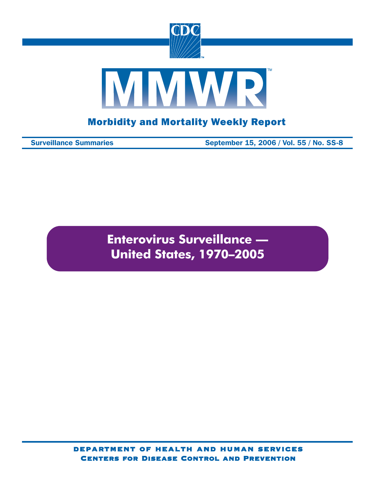

Surveillance Summaries September 15, 2006 / Vol. 55 / No. SS-8

**Enterovirus Surveillance — United States, 1970–2005**

department of health and human services Centers for Disease Control and Prevention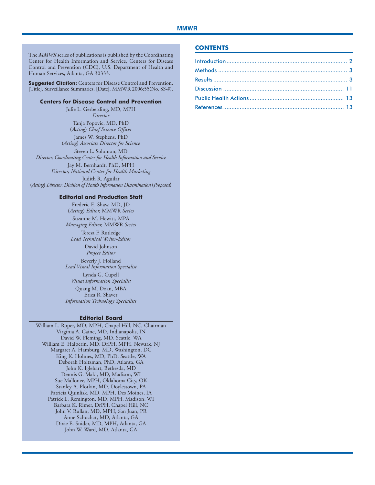The *MMWR* series of publications is published by the Coordinating Center for Health Information and Service, Centers for Disease Control and Prevention (CDC), U.S. Department of Health and Human Services, Atlanta, GA 30333.

**Suggested Citation:** Centers for Disease Control and Prevention. [Title]. Surveillance Summaries, [Date]. MMWR 2006;55(No. SS-#).

#### **Centers for Disease Control and Prevention**

Julie L. Gerberding, MD, MPH *Director* Tanja Popovic, MD, PhD

(*Acting*) *Chief Science Officer* James W. Stephens, PhD (*Acting*) *Associate Director for Science*

Steven L. Solomon, MD *Director, Coordinating Center for Health Information and Service*

Jay M. Bernhardt, PhD, MPH

*Director, National Center for Health Marketing* Judith R. Aguilar (*Acting*) *Director, Division of Health Information Dissemination* (*Proposed*)

#### **Editorial and Production Staff**

Frederic E. Shaw, MD, JD (*Acting*) *Editor,* MMWR *Series*

Suzanne M. Hewitt, MPA *Managing Editor,* MMWR *Series*

Teresa F. Rutledge *Lead Technical Writer-Editor*

> David Johnson *Project Editor*

Beverly J. Holland *Lead Visual Information Specialist* Lynda G. Cupell *Visual Information Specialist*

Quang M. Doan, MBA Erica R. Shaver *Information Technology Specialists*

#### **Editorial Board**

William L. Roper, MD, MPH, Chapel Hill, NC, Chairman Virginia A. Caine, MD, Indianapolis, IN David W. Fleming, MD, Seattle, WA William E. Halperin, MD, DrPH, MPH, Newark, NJ Margaret A. Hamburg, MD, Washington, DC King K. Holmes, MD, PhD, Seattle, WA Deborah Holtzman, PhD, Atlanta, GA John K. Iglehart, Bethesda, MD Dennis G. Maki, MD, Madison, WI Sue Mallonee, MPH, Oklahoma City, OK Stanley A. Plotkin, MD, Doylestown, PA Patricia Quinlisk, MD, MPH, Des Moines, IA Patrick L. Remington, MD, MPH, Madison, WI Barbara K. Rimer, DrPH, Chapel Hill, NC John V. Rullan, MD, MPH, San Juan, PR Anne Schuchat, MD, Atlanta, GA Dixie E. Snider, MD, MPH, Atlanta, GA John W. Ward, MD, Atlanta, GA

#### **CONTENTS**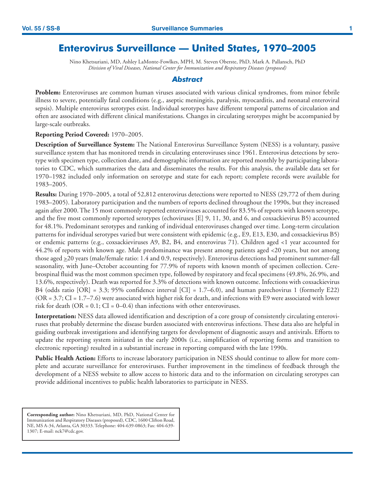# **Enterovirus Surveillance — United States, 1970–2005**

Nino Khetsuriani, MD, Ashley LaMonte-Fowlkes, MPH, M. Steven Oberste, PhD, Mark A. Pallansch, PhD *Division of Viral Diseases, National Center for Immunization and Respiratory Diseases (proposed)*

#### *Abstract*

**Problem:** Enteroviruses are common human viruses associated with various clinical syndromes, from minor febrile illness to severe, potentially fatal conditions (e.g., aseptic meningitis, paralysis, myocarditis, and neonatal enteroviral sepsis). Multiple enterovirus serotypes exist. Individual serotypes have different temporal patterns of circulation and often are associated with different clinical manifestations. Changes in circulating serotypes might be accompanied by large-scale outbreaks.

#### **Reporting Period Covered:** 1970–2005.

**Description of Surveillance System:** The National Enterovirus Surveillance System (NESS) is a voluntary, passive surveillance system that has monitored trends in circulating enteroviruses since 1961. Enterovirus detections by serotype with specimen type, collection date, and demographic information are reported monthly by participating laboratories to CDC, which summarizes the data and disseminates the results. For this analysis, the available data set for 1970–1982 included only information on serotype and state for each report; complete records were available for 1983–2005.

**Results:** During 1970–2005, a total of 52,812 enterovirus detections were reported to NESS (29,772 of them during 1983–2005). Laboratory participation and the numbers of reports declined throughout the 1990s, but they increased again after 2000. The 15 most commonly reported enteroviruses accounted for 83.5% of reports with known serotype, and the five most commonly reported serotypes (echoviruses [E] 9, 11, 30, and 6, and coxsackievirus B5) accounted for 48.1%. Predominant serotypes and ranking of individual enteroviruses changed over time. Long-term circulation patterns for individual serotypes varied but were consistent with epidemic (e.g., E9, E13, E30, and coxsackievirus B5) or endemic patterns (e.g., coxsackieviruses A9, B2, B4, and enterovirus 71). Children aged <1 year accounted for 44.2% of reports with known age. Male predominance was present among patients aged <20 years, but not among those aged >20 years (male/female ratio: 1.4 and 0.9, respectively). Enterovirus detections had prominent summer-fall seasonality, with June–October accounting for 77.9% of reports with known month of specimen collection. Cerebrospinal fluid was the most common specimen type, followed by respiratory and fecal specimens (49.8%, 26.9%, and 13.6%, respectively). Death was reported for 3.3% of detections with known outcome. Infections with coxsackievirus B4 (odds ratio  $[OR] = 3.3$ ; 95% confidence interval  $[CI] = 1.7–6.0$ ), and human parechovirus 1 (formerly E22)  $(OR = 3.7; CI = 1.7–7.6)$  were associated with higher risk for death, and infections with E9 were associated with lower risk for death (OR =  $0.1$ ; CI =  $0-0.4$ ) than infections with other enteroviruses.

**Interpretation:** NESS data allowed identification and description of a core group of consistently circulating enteroviruses that probably determine the disease burden associated with enterovirus infections. These data also are helpful in guiding outbreak investigations and identifying targets for development of diagnostic assays and antivirals. Efforts to update the reporting system initiated in the early 2000s (i.e., simplification of reporting forms and transition to electronic reporting) resulted in a substantial increase in reporting compared with the late 1990s.

**Public Health Action:** Efforts to increase laboratory participation in NESS should continue to allow for more complete and accurate surveillance for enteroviruses. Further improvement in the timeliness of feedback through the development of a NESS website to allow access to historic data and to the information on circulating serotypes can provide additional incentives to public health laboratories to participate in NESS.

**Corresponding author:** Nino Khetsuriani, MD, PhD, National Center for Immunization and Respiratory Diseases (proposed), CDC, 1600 Clifton Road, NE, MS A-34, Atlanta, GA 30333. Telephone: 404-639-0863; Fax: 404-639- 1307; E-mail: nck7@cdc.gov.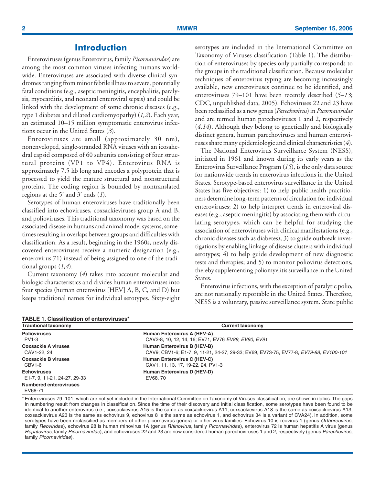## **Introduction**

<span id="page-3-0"></span>Enteroviruses (genus Enterovirus, family *Picornaviridae*) are among the most common viruses infecting humans worldwide. Enteroviruses are associated with diverse clinical syndromes ranging from minor febrile illness to severe, potentially fatal conditions (e.g., aseptic meningitis, encephalitis, paralysis, myocarditis, and neonatal enteroviral sepsis) and could be linked with the development of some chronic diseases (e.g., type 1 diabetes and dilated cardiomyopathy) (*1,2*). Each year, an estimated 10–15 million symptomatic enterovirus infections occur in the United States (*3*).

Enteroviruses are small (approximately 30 nm), nonenveloped, single-stranded RNA viruses with an icosahedral capsid composed of 60 subunits consisting of four structural proteins (VP1 to VP4). Enterovirus RNA is approximately 7.5 kb long and encodes a polyprotein that is processed to yield the mature structural and nonstructural proteins. The coding region is bounded by nontranslated regions at the 5' and 3' ends (*1*).

Serotypes of human enteroviruses have traditionally been classified into echoviruses, coxsackieviruses group A and B, and polioviruses. This traditional taxonomy was based on the associated disease in humans and animal model systems, sometimes resulting in overlaps between groups and difficulties with classification. As a result, beginning in the 1960s, newly discovered enteroviruses receive a numeric designation (e.g., enterovirus 71) instead of being assigned to one of the traditional groups (*1,4*).

Current taxonomy (*4*) takes into account molecular and biologic characteristics and divides human enteroviruses into four species (human enterovirus [HEV] A, B, C, and D) but keeps traditional names for individual serotypes. Sixty-eight serotypes are included in the International Committee on Taxonomy of Viruses classification (Table 1). The distribution of enteroviruses by species only partially corresponds to the groups in the traditional classification. Because molecular techniques of enterovirus typing are becoming increasingly available, new enteroviruses continue to be identified, and enteroviruses 79–101 have been recently described (*5–13*; CDC, unpublished data, 2005). Echoviruses 22 and 23 have been reclassified as a new genus (*Parechovirus*) in *Picornaviridae* and are termed human parechoviruses 1 and 2, respectively (*4,14*). Although they belong to genetically and biologically distinct genera, human parechoviruses and human enteroviruses share many epidemiologic and clinical characteristics (*4*).

The National Enterovirus Surveillance System (NESS), initiated in 1961 and known during its early years as the Enterovirus Surveillance Program (*15*), is the only data source for nationwide trends in enterovirus infections in the United States. Serotype-based enterovirus surveillance in the United States has five objectives: 1) to help public health practitioners determine long-term patterns of circulation for individual enteroviruses; 2) to help interpret trends in enteroviral diseases (e.g., aseptic meningitis) by associating them with circulating serotypes, which can be helpful for studying the association of enteroviruses with clinical manifestations (e.g., chronic diseases such as diabetes); 3) to guide outbreak investigations by enabling linkage of disease clusters with individual serotypes; 4) to help guide development of new diagnostic tests and therapies; and 5) to monitor poliovirus detections, thereby supplementing poliomyelitis surveillance in the United States.

Enterovirus infections, with the exception of paralytic polio, are not nationally reportable in the United States. Therefore, NESS is a voluntary, passive surveillance system. State public

| <b>TABLE 1. Classification of enteroviruses*</b> |                                                                                       |  |  |  |  |  |  |
|--------------------------------------------------|---------------------------------------------------------------------------------------|--|--|--|--|--|--|
| <b>Traditional taxonomy</b>                      | <b>Current taxonomy</b>                                                               |  |  |  |  |  |  |
| <b>Polioviruses</b>                              | Human Enterovirus A (HEV-A)                                                           |  |  |  |  |  |  |
| PV1-3                                            | CAV2-8, 10, 12, 14, 16; EV71, EV76 EV89, EV90, EV91                                   |  |  |  |  |  |  |
| <b>Coxsackie A viruses</b>                       | Human Enterovirus B (HEV-B)                                                           |  |  |  |  |  |  |
| CAV1-22, 24                                      | CAV9; CBV1-6; E1-7, 9, 11-21, 24-27, 29-33; EV69, EV73-75, EV77-8, EV79-88, EV100-101 |  |  |  |  |  |  |
| <b>Coxsackie B viruses</b>                       | Human Enterovirus C (HEV-C)                                                           |  |  |  |  |  |  |
| CBV1-6                                           | CAV1, 11, 13, 17, 19-22, 24, PV1-3                                                    |  |  |  |  |  |  |
| <b>Echoviruses</b>                               | Human Enterovirus D (HEV-D)                                                           |  |  |  |  |  |  |
| E1-7, 9, 11-21, 24-27, 29-33                     | EV68, 70                                                                              |  |  |  |  |  |  |
| <b>Numbered enteroviruses</b><br>EV68-71         |                                                                                       |  |  |  |  |  |  |

\* Enteroviruses 79–101, which are not yet included in the International Committee on Taxonomy of Viruses classification, are shown in italics. The gaps in numbering result from changes in classification. Since the time of their discovery and initial classification, some serotypes have been found to be identical to another enterovirus (i.e., coxsackievirus A15 is the same as coxsackievirus A11, coxsackievirus A18 is the same as coxsackievirus A13, coxsackievirus A23 is the same as echovirus 9, echovirus 8 is the same as echovirus 1, and echovirus 34 is a variant of CVA24). In addition, some serotypes have been reclassified as members of other picornavirus genera or other virus families. Echovirus 10 is reovirus 1 (genus Orthoreovirus, family Reoviridae), echovirus 28 is human rhinovirus 1A (genus Rhinovirus, family Picornaviridae), enterovirus 72 is human hepatitis A virus (genus Hepatovirus, family Picornaviridae), and echoviruses 22 and 23 are now considered human parechoviruses 1 and 2, respectively (genus Parechovirus, family Picornaviridae).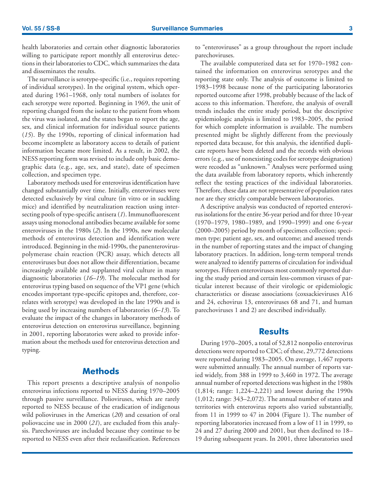<span id="page-4-0"></span>health laboratories and certain other diagnostic laboratories willing to participate report monthly all enterovirus detections in their laboratories to CDC, which summarizes the data and disseminates the results.

The surveillance is serotype-specific (i.e., requires reporting of individual serotypes). In the original system, which operated during 1961–1968, only total numbers of isolates for each serotype were reported. Beginning in 1969, the unit of reporting changed from the isolate to the patient from whom the virus was isolated, and the states began to report the age, sex, and clinical information for individual source patients (*15*). By the 1990s, reporting of clinical information had become incomplete as laboratory access to details of patient information became more limited. As a result, in 2002, the NESS reporting form was revised to include only basic demographic data (e.g., age, sex, and state), date of specimen collection, and specimen type.

Laboratory methods used for enterovirus identification have changed substantially over time. Initially, enteroviruses were detected exclusively by viral culture (in vitro or in suckling mice) and identified by neutralization reaction using intersecting pools of type-specific antisera (*1*). Immunofluorescent assays using monoclonal antibodies became available for some enteroviruses in the 1980s (*2*). In the 1990s, new molecular methods of enterovirus detection and identification were introduced. Beginning in the mid-1990s, the panenteroviruspolymerase chain reaction (PCR) assay, which detects all enteroviruses but does not allow their differentiation, became increasingly available and supplanted viral culture in many diagnostic laboratories (*16–19*). The molecular method for enterovirus typing based on sequence of the VP1 gene (which encodes important type-specific epitopes and, therefore, correlates with serotype) was developed in the late 1990s and is being used by increasing numbers of laboratories (*6–13*). To evaluate the impact of the changes in laboratory methods of enterovirus detection on enterovirus surveillance, beginning in 2001, reporting laboratories were asked to provide information about the methods used for enterovirus detection and typing.

## **Methods**

This report presents a descriptive analysis of nonpolio enterovirus infections reported to NESS during 1970–2005 through passive surveillance. Polioviruses, which are rarely reported to NESS because of the eradication of indigenous wild polioviruses in the Americas (*20*) and cessation of oral poliovaccine use in 2000 (*21*), are excluded from this analysis. Parechoviruses are included because they continue to be reported to NESS even after their reclassification. References to "enteroviruses" as a group throughout the report include parechoviruses.

The available computerized data set for 1970–1982 contained the information on enterovirus serotypes and the reporting state only. The analysis of outcome is limited to 1983–1998 because none of the participating laboratories reported outcome after 1998, probably because of the lack of access to this information. Therefore, the analysis of overall trends includes the entire study period, but the descriptive epidemiologic analysis is limited to 1983–2005, the period for which complete information is available. The numbers presented might be slightly different from the previously reported data because, for this analysis, the identified duplicate reports have been deleted and the records with obvious errors (e.g., use of nonexisting codes for serotype designation) were recoded as "unknown." Analyses were performed using the data available from laboratory reports, which inherently reflect the testing practices of the individual laboratories. Therefore, these data are not representative of population rates nor are they strictly comparable between laboratories.

A descriptive analysis was conducted of reported enterovirus isolations for the entire 36-year period and for three 10-year (1970–1979, 1980–1989, and 1990–1999) and one 6-year (2000–2005) period by month of specimen collection; specimen type; patient age, sex, and outcome; and assessed trends in the number of reporting states and the impact of changing laboratory practices. In addition, long-term temporal trends were analyzed to identify patterns of circulation for individual serotypes. Fifteen enteroviruses most commonly reported during the study period and certain less-common viruses of particular interest because of their virologic or epidemiologic characteristics or disease associations (coxsackieviruses A16 and 24, echovirus 13, enteroviruses 68 and 71, and human parechoviruses 1 and 2) are described individually.

### **Results**

During 1970–2005, a total of 52,812 nonpolio enterovirus detections were reported to CDC; of these, 29,772 detections were reported during 1983–2005. On average, 1,467 reports were submitted annually. The annual number of reports varied widely, from 388 in 1999 to 3,460 in 1972. The average annual number of reported detections was highest in the 1980s (1,814; range: 1,224–2,221) and lowest during the 1990s (1,012; range: 343–2,072). The annual number of states and territories with enterovirus reports also varied substantially, from 11 in 1999 to 47 in 2004 (Figure 1). The number of reporting laboratories increased from a low of 11 in 1999, to 24 and 27 during 2000 and 2001, but then declined to 18– 19 during subsequent years. In 2001, three laboratories used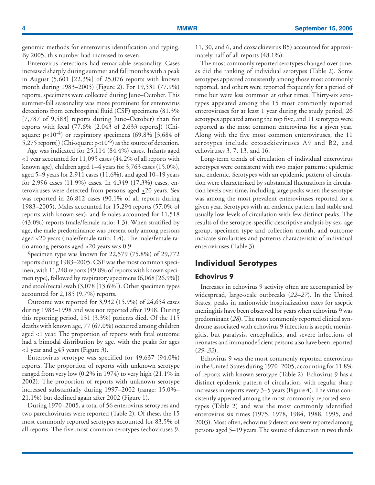genomic methods for enterovirus identification and typing. By 2005, this number had increased to seven.

Enterovirus detections had remarkable seasonality. Cases increased sharply during summer and fall months with a peak in August (5,601 [22.3%] of 25,076 reports with known month during 1983–2005) (Figure 2). For 19,531 (77.9%) reports, specimens were collected during June–October. This summer-fall seasonality was more prominent for enterovirus detections from cerebrospinal fluid (CSF) specimens (81.3% [7,787 of 9,583] reports during June–October) than for reports with fecal (77.6% [2,043 of 2,633 reports]) (Chisquare:  $p<10^{-4}$ ) or respiratory specimens (69.8% [3,684 of 5,275 reports]) (Chi-square:  $p<10^{-6}$ ) as the source of detection.

Age was indicated for 25,114 (84.4%) cases. Infants aged <1 year accounted for 11,095 cases (44.2% of all reports with known age), children aged 1–4 years for 3,763 cases (15.0%), aged 5–9 years for 2,911 cases (11.6%), and aged 10–19 years for 2,996 cases (11.9%) cases. In 4,349 (17.3%) cases, enteroviruses were detected from persons aged  $\geq 20$  years. Sex was reported in 26,812 cases (90.1% of all reports during 1983–2005). Males accounted for 15,294 reports (57.0% of reports with known sex), and females accounted for 11,518 (43.0%) reports (male/female ratio: 1.3). When stratified by age, the male predominance was present only among persons aged <20 years (male/female ratio: 1.4). The male/female ratio among persons aged  $\geq 20$  years was 0.9.

Specimen type was known for 22,579 (75.8%) of 29,772 reports during 1983–2005. CSF was the most common specimen, with 11,248 reports (49.8% of reports with known specimen type), followed by respiratory specimens (6,068 [26.9%]) and stool/rectal swab (3,078 [13.6%]). Other specimen types accounted for 2,185 (9.7%) reports.

Outcome was reported for 3,932 (15.9%) of 24,654 cases during 1983–1998 and was not reported after 1998. During this reporting period, 131 (3.3%) patients died. Of the 115 deaths with known age, 77 (67.0%) occurred among children aged <1 year. The proportion of reports with fatal outcome had a bimodal distribution by age, with the peaks for ages  $1$  year and  $\geq 45$  years (Figure 3).

Enterovirus serotype was specified for 49,637 (94.0%) reports. The proportion of reports with unknown serotype ranged from very low (0.2% in 1974) to very high (21.1% in 2002). The proportion of reports with unknown serotype increased substantially during 1997–2002 (range: 15.0%– 21.1%) but declined again after 2002 (Figure 1).

During 1970–2005, a total of 56 enterovirus serotypes and two parechoviruses were reported (Table 2). Of these, the 15 most commonly reported serotypes accounted for 83.5% of all reports. The five most common serotypes (echoviruses 9,

11, 30, and 6, and coxsackievirus B5) accounted for approximately half of all reports (48.1%).

The most commonly reported serotypes changed over time, as did the ranking of individual serotypes (Table 2). Some serotypes appeared consistently among those most commonly reported, and others were reported frequently for a period of time but were less common at other times. Thirty-six serotypes appeared among the 15 most commonly reported enteroviruses for at least 1 year during the study period, 26 serotypes appeared among the top five, and 11 serotypes were reported as the most common enterovirus for a given year. Along with the five most common enteroviruses, the 11 serotypes include coxsackieviruses A9 and B2, and echoviruses 3, 7, 13, and 16.

Long-term trends of circulation of individual enterovirus serotypes were consistent with two major patterns: epidemic and endemic. Serotypes with an epidemic pattern of circulation were characterized by substantial fluctuations in circulation levels over time, including large peaks when the serotype was among the most prevalent enteroviruses reported for a given year. Serotypes with an endemic pattern had stable and usually low-levels of circulation with few distinct peaks. The results of the serotype-specific descriptive analysis by sex, age group, specimen type and collection month, and outcome indicate similarities and patterns characteristic of individual enteroviruses (Table 3).

## **Individual Serotypes**

#### **Echovirus 9**

Increases in echovirus 9 activity often are accompanied by widespread, large-scale outbreaks (*22–27*). In the United States, peaks in nationwide hospitalization rates for aseptic meningitis have been observed for years when echovirus 9 was predominant (*28*). The most commonly reported clinical syndrome associated with echovirus 9 infection is aseptic meningitis, but paralysis, encephalitis, and severe infections of neonates and immunodeficient persons also have been reported (*29–32*).

Echovirus 9 was the most commonly reported enterovirus in the United States during 1970–2005, accounting for 11.8% of reports with known serotype (Table 2). Echovirus 9 has a distinct epidemic pattern of circulation, with regular sharp increases in reports every 3–5 years (Figure 4). The virus consistently appeared among the most commonly reported serotypes (Table 2) and was the most commonly identified enterovirus six times (1975, 1978, 1984, 1988, 1995, and 2003). Most often, echovirus 9 detections were reported among persons aged 5–19 years. The source of detection in two thirds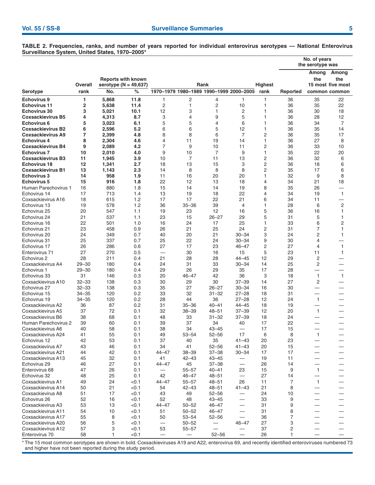**No. of years the serotype was Among Among Reports with known the the Overall serotype (N = 49,637) Serotype rank No. % 1970–1979 1980–1989 1990–1999 2000–2005 rank Reported common common Echovirus 9 1 5,868 11.8** 1 2 4 1 1 36 35 22 **Echovirus 11 2 5,638 11.4** 2 1 2 10 1 36 35 22 **Echovirus 30 3 5,021 10.1** 12 3 1 2 1 36 30 18 **Coxsackievirus B5 4 4,313 8.7** 3 4 9 5 1 36 28 12 **Echovirus 6 5 3,023 6.1** 5 5 4 6 1 36 34 7 **Coxsackievirus B2 6 2,596 5.2** 6 6 5 12 1 36 35 14 **Coxsackievirus A9 7 2,399 4.8** 8 8 6 7 2 36 35 17 **Echovirus 4 8 2,304 4.6** 4 11 19 14 1 36 27 8 **Coxsackievirus B4 9 2,089 4.2** 7 9 10 11 2 36 33 10 **Echovirus 7 10 2,010 4.0** 9 10 7 9 1 35 22 20 **Coxsackievirus B3 11 1,945 3.9** 10 7 11 13 2 36 32 6 **Echovirus 18 12 1,341 2.7** 18 13 15 3 2 36 18 6 **Coxsackievirus B1 13 1,143 2.3** 14 8 8 8 2 35 17 6 **Echovirus 3 14 958 1.9** 11 16 20 20 1 32 9 8 **Echovirus 5 15 916 1.8** 22 12 13 18 4 34 21 18 Human Parechovirus 1 16 880 1.8 15 14 14 19 8 35 26 Echovirus 14 17 713 1.4 13 19 18 22 4 34 19 1 Coxsackievirus A16 18 615 1.2 17 17 22 21 6 34 11 — Echovirus 13 19 578 1.2 36 35–36 39 4 1 28 6 2 Echovirus 25 20 547 1.1 19 23 12 16 5 36 16 1 Echovirus 24 21 537 1.1 23 15 26–27 29 5 31 5 1 Echovirus 16 22 501 1.0 16 24 17 25 1 33 6 2 Echovirus 21 23 458 0.9 26 21 25 24 2 31 7 1 Echovirus 20 24 349 0.7 40 20 21 30–34 3 24 2 1 Echovirus 31 25 337 0.7 25 22 24 30–34 9 30 4 — Echovirus 17 26 286 0.6 27 17 23 46–47 2 27 4 1 Enterovirus 71 27 270 0.5 — 30 16 15 5 23 11 1 Echovirus 2 28 211 0.4 21 28 28 44–45 12 29 2 — Coxsackievirus A4 29–30 180 0.4 24 31 33 30–34 14 25 2 — Echovirus 1 29–30 180 0.4 29 26 29 35 17 28 — — Echovirus 33 31 146 0.3 20 46–47 42 36 3 18 1 1 Coxsackievirus A10 32–33 138 0.3 30 29 30 37–39 14 27 2 — Echovirus 27 32–33 138 0.3 35 27 26–27 30–34 16 30 — — Echovirus 15 34–35 120 0.2 33 32 31–32 27–28 18 31 — — Echovirus 19 34–35 120 0.2 28 44 36 27–28 12 24 1 — Echovirus 15<br>
Echovirus 19<br>
Coxsackievirus A2 36 -37 0.2 31 32 -31 32 -27 -28 18 27<br>
Coxsackievirus A5 37 72 0.1 32 38–39 40–41 44–45 18 19 -1<br>
Coxsackievirus B6 37 72 0.1 48 33 31-32 37-39 18 24<br>
Human Parechovirus 2 39 6 Coxsackievirus A5 37 72 0.1 32 38–39 48–51 37–39 12 20 1 — Coxsackievirus B6 38 68 0.1 48 33 31–32 37–39 18 24 Human Parechovirus 2 39 60 0.1 39 37 34 40 17 22 Coxsackievirus A6 40 58 0.1 38 34 43–45 — 17 15 — — Coxsackievirus A24 41 55 0.1 49 53–54 52–56 17 6 8 1 — Echovirus 12 42 53 0.1 37 40 35 41–43 20 23 — — Coxsackievirus A7 43 46 0.1 34 41 52–56 41–43 20 15 — — Coxsackievirus A21 44 42 0.1 44–47 38–39 37–38 30–34 17 17 Coxsackievirus A13 45 32 0.1 41 42–43 43–45 — 19 11<br>Echovirus 29 46 27 0.1 44–47 45 37–38 — 26 14 Echovirus 29 46 27 0.1 44–47 45 37–38 — 26 14 — — Enterovirus 68 47 26 0.1 — 55–57 40–41 23 15 9 1 — Echovirus 32 48 25 0.1 42 46–47 48–51 — 27 14 — — Coxsackievirus A1 49 24 <0.1 44–47 55–57 48–51 26 11 7 1 — Coxsackievirus A14 50 21 < 0.1 54 42-43 48-51 41-43 21 8 Coxsackievirus A8 51 17 <0.1 43 49 52–56 — 24 10 — — Echovirus 26 52 16 <0.1 52 48 43–45 — 33 9 — — Coxsackievirus A3 53 13 < 0.1 44–47 50–52 46–47 — 31 9<br>Coxsackievirus A11 54 10 < 0.1 51 50–52 46–47 — 31 8 Coxsackievirus A11 54 10 <0.1 51 50–52 46–47 — 31 8 — — Coxsackievirus A17 55 8 <0.1 50 53–54 52–56 — 36 7 — — Coxsackievirus A20 56 5 < 0.1 — 50–52 — 46–47 27 3<br>Coxsackievirus A12 57 3 < 0.1 53 55–57 — — 37 2 Coxsackievirus A12 Enterovirus 70 58 1 <0.1 — — 52–56 — 26 1 — —

**TABLE 2. Frequencies, ranks, and number of years reported for individual enterovirus serotypes — National Enterovirus Surveillance System, United States, 1970–2005\***

\* The 15 most common serotypes are shown in bold. Coxsackieviruses A19 and A22, enterovirus 69, and recently identified enteroviruses numbered 73 and higher have not been reported during the study period.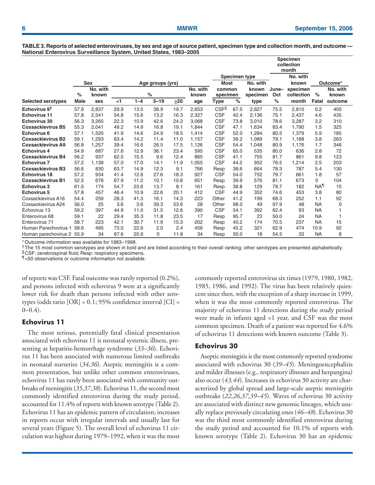**TABLE 3. Reports of selected enteroviruses, by sex and age of source patient, specimen type and collection month, and outcome — National Enterovirus Surveillance System, United States, 1983–2005**

|                           |                                |                   |       |         |          |             |                   |                      |      |                   |              | <b>Specimen</b><br>collection |                        |                   |
|---------------------------|--------------------------------|-------------------|-------|---------|----------|-------------|-------------------|----------------------|------|-------------------|--------------|-------------------------------|------------------------|-------------------|
|                           |                                |                   |       |         |          |             |                   |                      |      |                   |              | month                         |                        |                   |
|                           |                                |                   |       |         |          |             |                   | <b>Specimen type</b> |      |                   | No. with     |                               |                        |                   |
|                           | <b>Sex</b><br>Age groups (yrs) |                   |       |         |          | <b>Most</b> |                   | No. with             |      | known             |              | Outcome*                      |                        |                   |
|                           | %                              | No. with<br>known |       |         | %        |             | No. with<br>known | common<br>specimen   |      | known<br>specimen | June-<br>Oct | specimen<br>collection        | $\%$                   | No. with<br>known |
| <b>Selected serotypes</b> | <b>Male</b>                    | sex               | $<$ 1 | $1 - 4$ | $5 - 19$ | >20         | age               | Type                 | $\%$ | type              | %            | month                         | Fatal                  | outcome           |
| Echovirus 9 <sup>t</sup>  | 57.9                           | 2,837             | 29.9  | 13.5    | 36.9     | 19.7        | 2,653             | CSF <sup>§</sup>     | 67.5 | 2,627             | 75.5         | 2,810                         | 0.2                    | 405               |
| <b>Echovirus 11</b>       | 57.8                           | 2,541             | 54.8  | 15.6    | 13.2     | 16.3        | 2,327             | <b>CSF</b>           | 42.4 | 2,136             | 75.1         | 2,437                         | 4.6                    | 435               |
| <b>Echovirus 30</b>       | 56.3                           | 3,265             | 22.3  | 10.9    | 42.6     | 24.2        | 3,068             | <b>CSF</b>           | 73.8 | 3.010             | 78.6         | 3,287                         | 3.2                    | 310               |
| <b>Coxsackievirus B5</b>  | 55.3                           | 2,041             | 49.2  | 14.9    | 16.8     | 19.1        | 1.844             | <b>CSF</b>           | 47.1 | 1.634             | 83.4         | 1.790                         | 1.5                    | 325               |
| <b>Echovirus 6</b>        | 57.1                           | 1,520             | 41.9  | 14.6    | 24.9     | 18.5        | 1,414             | <b>CSF</b>           | 52.0 | 1,284             | 80.5         | 1,379                         | 5.9                    | 185               |
| <b>Coxsackievirus B2</b>  | 59.1                           | 1.293             | 63.4  | 14.2    | 11.4     | 11.0        | 1,157             | <b>CSF</b>           | 39.2 | 1.089             | 79.1         | 1.188                         | 3.8                    | 263               |
| <b>Coxsackievirus A9</b>  | 56.8                           | 1,257             | 39.4  | 16.6    | 26.5     | 17.5        | 1,126             | <b>CSF</b>           | 54.4 | 1,048             | 80.9         | 1,176                         | 1.7                    | 346               |
| <b>Echovirus 4</b>        | 54.9                           | 687               | 27.6  | 12.9    | 36.1     | 23.4        | 595               | <b>CSF</b>           | 65.0 | 535               | 80.0         | 636                           | 2.8                    | 72                |
| <b>Coxsackievirus B4</b>  | 56.2                           | 937               | 62.5  | 15.5    | 9.6      | 12.4        | 865               | <b>CSF</b>           | 41.1 | 755               | 81.7         | 861                           | 9.8                    | 123               |
| <b>Echovirus 7</b>        | 57.2                           | 1,139             | 57.0  | 17.0    | 14.1     | 11.9        | 1,055             | <b>CSF</b>           | 44.2 | 952               | 76.5         | 1,214                         | 2.5                    | 203               |
| <b>Coxsackievirus B3</b>  | 56.6                           | 830               | 63.7  | 14.9    | 12.3     | 9.1         | 766               | Resp                 | 38.6 | 664               | 78.3         | 787                           | 5.4                    | 130               |
| <b>Echovirus 18</b>       | 57.2                           | 934               | 41.4  | 12.6    | 27.6     | 18.3        | 927               | <b>CSF</b>           | 54.0 | 752               | 79.7         | 661                           | 1.8                    | 57                |
| <b>Coxsackievirus B1</b>  | 52.5                           | 676               | 67.9  | 11.2    | 10.1     | 10.8        | 651               | Resp                 | 39.9 | 576               | 81.1         | 673                           | 0                      | 104               |
| <b>Echovirus 3</b>        | 61.5                           | 174               | 54.7  | 23.6    | 13.7     | 8.1         | 161               | Resp                 | 38.8 | 129               | 79.7         | 182                           | <b>NA</b> <sup>1</sup> | 15                |
| <b>Echovirus 5</b>        | 57.8                           | 457               | 46.4  | 10.9    | 22.6     | 20.1        | 412               | <b>CSF</b>           | 44.9 | 352               | 74.6         | 453                           | 3.8                    | 80                |
| Coxsackievirus A16        | 54.4                           | 259               | 28.3  | 41.3    | 16.1     | 14.3        | 223               | Other                | 41.2 | 199               | 68.3         | 252                           | 1.1                    | 92                |
| Coxsackievirus A24        | 56.0                           | 25                | 3.6   | 3.6     | 39.3     | 53.6        | 28                | Other                | 98.0 | 49                | 97.9         | 48                            | <b>NA</b>              | 0                 |
| Echovirus 13              | 59.2                           | 397               | 44.9  | 11.0    | 31.5     | 12.6        | 390               | <b>CSF</b>           | 54.1 | 392               | 62.4         | 93                            | <b>NA</b>              |                   |
| Enterovirus 68            | 59.1                           | 22                | 29.4  | 35.3    | 11.8     | 23.5        | 17                | Resp                 | 95.7 | 23                | 50.0         | 24                            | <b>NA</b>              | 1                 |
| Enterovirus 71            | 58.7                           | 223               | 42.1  | 30.7    | 11.9     | 15.3        | 202               | Resp                 | 40.2 | 174               | 70.5         | 237                           | <b>NA</b>              | 15                |
| Human Parechovirus 1      | 58.6                           | 495               | 73.0  | 22.6    | 2.0      | 2.4         | 456               | Resp                 | 45.2 | 321               | 62.9         | 474                           | 10.9                   | 92                |
| Human parechovirus 2 55.9 |                                | 34                | 67.6  | 20.6    | 0        | 11.8        | 34                | Resp                 | 50.0 | 18                | 54.5         | 33                            | <b>NA</b>              | 8                 |

\* Outcome information was available for 1983–1998.

<sup>†</sup>The 15 most common serotypes are shown in bold and are listed according to their overall ranking; other serotypes are presented alphabetically.<br>§CSF: cerebrospinal fluid; Resp: respiratory specimens.

¶<50 observations or outcome information not available.

of reports was CSF. Fatal outcome was rarely reported (0.2%), and persons infected with echovirus 9 were at a significantly lower risk for death than persons infected with other serotypes (odds ratio  $[OR] = 0.1$ ; 95% confidence interval  $[CI] =$  $0-0.4$ ).

#### **Echovirus 11**

The most serious, potentially fatal clinical presentation associated with echovirus 11 is neonatal systemic illness, presenting as hepatitis-hemorrhage syndrome (*33–36*). Echovirus 11 has been associated with numerous limited outbreaks in neonatal nurseries (*34,36*). Aseptic meningitis is a common presentation, but unlike other common enteroviruses, echovirus 11 has rarely been associated with community outbreaks of meningitis (*35,37,38*). Echovirus 11, the second most commonly identified enterovirus during the study period, accounted for 11.4% of reports with known serotype (Table 2). Echovirus 11 has an epidemic pattern of circulation; increases in reports occur with irregular intervals and usually last for several years (Figure 5). The overall level of echovirus 11 circulation was highest during 1979–1992, when it was the most commonly reported enterovirus six times (1979, 1980, 1982, 1985, 1986, and 1992). The virus has been relatively quiescent since then, with the exception of a sharp increase in 1999, when it was the most commonly reported enterovirus. The majority of echovirus 11 detections during the study period were made in infants aged <1 year, and CSF was the most common specimen. Death of a patient was reported for 4.6% of echovirus 11 detections with known outcome (Table 3).

#### **Echovirus 30**

Aseptic meningitis is the most commonly reported syndrome associated with echovirus 30 (*39–45*). Meningoencephalitis and milder illnesses (e.g., respiratory illnesses and herpangina) also occur (*43,44*). Increases in echovirus 30 activity are characterized by global spread and large-scale aseptic meningitis outbreaks (*22,26,37,39–45*). Waves of echovirus 30 activity are associated with distinct new genomic lineages, which usually replace previously circulating ones (*46–48*). Echovirus 30 was the third most commonly identified enterovirus during the study period and accounted for 10.1% of reports with known serotype (Table 2). Echovirus 30 has an epidemic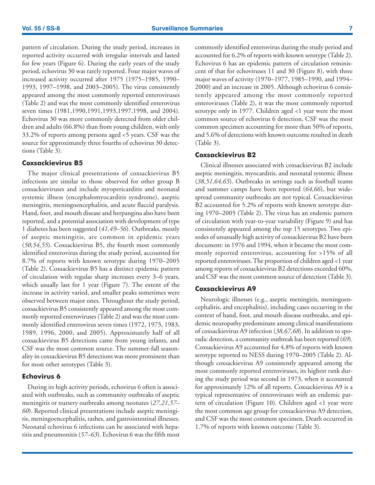pattern of circulation. During the study period, increases in reported activity occurred with irregular intervals and lasted for few years (Figure 6). During the early years of the study period, echovirus 30 was rarely reported. Four major waves of increased activity occurred after 1975 (1975–1985, 1990– 1993, 1997–1998, and 2003–2005). The virus consistently appeared among the most commonly reported enteroviruses (Table 2) and was the most commonly identified enterovirus seven times (1981,1990,1991,1993,1997,1998, and 2004). Echovirus 30 was more commonly detected from older children and adults (66.8%) than from young children, with only 33.2% of reports among persons aged <5 years. CSF was the source for approximately three fourths of echovirus 30 detections (Table 3).

#### **Coxsackievirus B5**

The major clinical presentations of coxsackievirus B5 infections are similar to those observed for other group B coxsackieviruses and include myopericarditis and neonatal systemic illness (encephalomyocarditis syndrome), aseptic meningitis, meningoencephalitis, and acute flaccid paralysis. Hand, foot, and mouth disease and herpangina also have been reported, and a potential association with development of type 1 diabetes has been suggested (*41,49–56*). Outbreaks, mostly of aseptic meningitis, are common in epidemic years (*50,54,55*). Coxsackievirus B5, the fourth most commonly identified enterovirus during the study period, accounted for 8.7% of reports with known serotype during 1970–2005 (Table 2). Coxsackievirus B5 has a distinct epidemic pattern of circulation with regular sharp increases every 3–6 years, which usually last for 1 year (Figure 7). The extent of the increase in activity varied, and smaller peaks sometimes were observed between major ones. Throughout the study period, coxsackievirus B5 consistently appeared among the most commonly reported enteroviruses (Table 2) and was the most commonly identified enterovirus seven times (1972, 1973, 1983, 1989, 1996, 2000, and 2005). Approximately half of all coxsackievirus B5 detections came from young infants, and CSF was the most common source. The summer-fall seasonality in coxsackievirus B5 detections was more prominent than for most other serotypes (Table 3).

#### **Echovirus 6**

During its high activity periods, echovirus 6 often is associated with outbreaks, such as community outbreaks of aseptic meningitis or nursery outbreaks among neonates (*27,21,57– 60*). Reported clinical presentations include aseptic meningitis, meningoencephalitis, rashes, and gastrointestinal illnesses. Neonatal echovirus 6 infections can be associated with hepatitis and pneumonitis (*57–63*). Echovirus 6 was the fifth most commonly identified enterovirus during the study period and accounted for 6.2% of reports with known serotype (Table 2). Echovirus 6 has an epidemic pattern of circulation reminiscent of that for echoviruses 11 and 30 (Figure 8), with three major waves of activity (1970–1977, 1985–1990, and 1994– 2000) and an increase in 2005. Although echovirus 6 consistently appeared among the most commonly reported enteroviruses (Table 2), it was the most commonly reported serotype only in 1977. Children aged <1 year were the most common source of echovirus 6 detection, CSF was the most common specimen accounting for more than 50% of reports, and 5.6% of detections with known outcome resulted in death (Table 3).

#### **Coxsackievirus B2**

Clinical illnesses associated with coxsackievirus B2 include aseptic meningitis, myocarditis, and neonatal systemic illness (*38,51,64,65*). Outbreaks in settings such as football teams and summer camps have been reported (*64,66*), but widespread community outbreaks are not typical. Coxsackievirus B2 accounted for 5.2% of reports with known serotype during 1970–2005 (Table 2). The virus has an endemic pattern of circulation with year-to-year variability (Figure 9) and has consistently appeared among the top 15 serotypes. Two episodes of unusually high activity of coxsackievirus B2 have been document: in 1976 and 1994, when it became the most commonly reported enterovirus, accounting for >15% of all reported enteroviruses. The proportion of children aged <1 year among reports of coxsackievirus B2 detections exceeded 60%, and CSF was the most common source of detection (Table 3).

#### **Coxsackievirus A9**

Neurologic illnesses (e.g., aseptic meningitis, meningoencephalitis, and encephalitis), including cases occurring in the context of hand, foot, and mouth disease outbreaks, and epidemic neuropathy predominate among clinical manifestations of coxsackievirus A9 infection (*38,67,68*). In addition to sporadic detection, a community outbreak has been reported (*69*). Coxsackievirus A9 accounted for 4.8% of reports with known serotype reported to NESS during 1970–2005 (Table 2). Although coxsackievirus A9 consistently appeared among the most commonly reported enteroviruses, its highest rank during the study period was second in 1973, when it accounted for approximately 12% of all reports. Coxsackievirus A9 is a typical representative of enteroviruses with an endemic pattern of circulation (Figure 10). Children aged <1 year were the most common age group for coxsackievirus A9 detection, and CSF was the most common specimen. Death occurred in 1.7% of reports with known outcome (Table 3).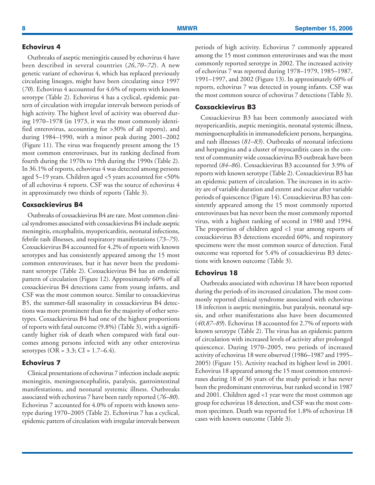#### **Echovirus 4**

Outbreaks of aseptic meningitis caused by echovirus 4 have been described in several countries (*26,70–72*). A new genetic variant of echovirus 4, which has replaced previously circulating lineages, might have been circulating since 1997 (*70*). Echovirus 4 accounted for 4.6% of reports with known serotype (Table 2). Echovirus 4 has a cyclical, epidemic pattern of circulation with irregular intervals between periods of high activity. The highest level of activity was observed during 1970–1978 (in 1973, it was the most commonly identified enterovirus, accounting for >30% of all reports), and during 1984–1990, with a minor peak during 2001–2002 (Figure 11). The virus was frequently present among the 15 most common enteroviruses, but its ranking declined from fourth during the 1970s to 19th during the 1990s (Table 2). In 36.1% of reports, echovirus 4 was detected among persons aged 5–19 years. Children aged <5 years accounted for <50% of all echovirus 4 reports. CSF was the source of echovirus 4 in approximately two thirds of reports (Table 3).

#### **Coxsackievirus B4**

Outbreaks of coxsackievirus B4 are rare. Most common clinical syndromes associated with coxsackievirus B4 include aseptic meningitis, encephalitis, myopericarditis, neonatal infections, febrile rash illnesses, and respiratory manifestations (*73–75*). Coxsackievirus B4 accounted for 4.2% of reports with known serotypes and has consistently appeared among the 15 most common enteroviruses, but it has never been the predominant serotype (Table 2). Coxsackievirus B4 has an endemic pattern of circulation (Figure 12). Approximately 60% of all coxsackievirus B4 detections came from young infants, and CSF was the most common source. Similar to coxsackievirus B5, the summer-fall seasonality in coxsackievirus B4 detections was more prominent than for the majority of other serotypes. Coxsackievirus B4 had one of the highest proportions of reports with fatal outcome (9.8%) (Table 3), with a significantly higher risk of death when compared with fatal outcomes among persons infected with any other enterovirus serotypes (OR =  $3.3$ ; CI =  $1.7-6.4$ ).

#### **Echovirus 7**

Clinical presentations of echovirus 7 infection include aseptic meningitis, meningoencephalitis, paralysis, gastrointestinal manifestations, and neonatal systemic illness. Outbreaks associated with echovirus 7 have been rarely reported (*76–80*). Echovirus 7 accounted for 4.0% of reports with known serotype during 1970–2005 (Table 2). Echovirus 7 has a cyclical, epidemic pattern of circulation with irregular intervals between periods of high activity. Echovirus 7 commonly appeared among the 15 most common enteroviruses and was the most commonly reported serotype in 2002. The increased activity of echovirus 7 was reported during 1978–1979, 1985–1987, 1991–1997, and 2002 (Figure 13). In approximately 60% of reports, echovirus 7 was detected in young infants. CSF was the most common source of echovirus 7 detections (Table 3).

#### **Coxsackievirus B3**

Coxsackievirus B3 has been commonly associated with myopericarditis, aseptic meningitis, neonatal systemic illness, meningoencephalitis in immunodeficient persons, herpangina, and rash illnesses (*81–83*). Outbreaks of neonatal infections and herpangina and a cluster of myocarditis cases in the context of community wide coxsackievirus B3 outbreak have been reported (*84–86*). Coxsackievirus B3 accounted for 3.9% of reports with known serotype (Table 2). Coxsackievirus B3 has an epidemic pattern of circulation. The increases in its activity are of variable duration and extent and occur after variable periods of quiescence (Figure 14). Coxsackievirus B3 has consistently appeared among the 15 most commonly reported enteroviruses but has never been the most commonly reported virus, with a highest ranking of second in 1980 and 1994. The proportion of children aged <1 year among reports of coxsackievirus B3 detections exceeded 60%, and respiratory specimens were the most common source of detection. Fatal outcome was reported for 5.4% of coxsackievirus B3 detections with known outcome (Table 3).

#### **Echovirus 18**

Outbreaks associated with echovirus 18 have been reported during the periods of its increased circulation. The most commonly reported clinical syndrome associated with echovirus 18 infection is aseptic meningitis, but paralysis, neonatal sepsis, and other manifestations also have been documented (*40,87–89*). Echovirus 18 accounted for 2.7% of reports with known serotype (Table 2). The virus has an epidemic pattern of circulation with increased levels of activity after prolonged quiescence. During 1970–2005, two periods of increased activity of echovirus 18 were observed (1986–1987 and 1995– 2005) (Figure 15). Activity reached its highest level in 2001. Echovirus 18 appeared among the 15 most common enteroviruses during 18 of 36 years of the study period; it has never been the predominant enterovirus, but ranked second in 1987 and 2001. Children aged <1 year were the most common age group for echovirus 18 detection, and CSF was the most common specimen. Death was reported for 1.8% of echovirus 18 cases with known outcome (Table 3).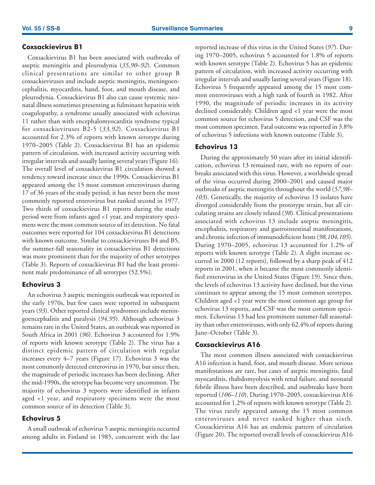### **Coxsackievirus B1**

Coxsackievirus B1 has been associated with outbreaks of aseptic meningitis and pleurodynia (*35,90–92*). Common clinical presentations are similar to other group B coxsackieviruses and include aseptic meningitis, meningoencephalitis, myocarditis, hand, foot, and mouth disease, and pleurodynia. Coxsackievirus B1 also can cause systemic neonatal illness sometimes presenting as fulminant hepatitis with coagulopathy, a syndrome usually associated with echovirus 11 rather than with encephalomyocarditis syndrome typical for coxsackieviruses B2-5 (*33,92*). Coxsackievirus B1 accounted for 2.3% of reports with known serotype during 1970–2005 (Table 2). Coxsackievirus B1 has an epidemic pattern of circulation, with increased activity occurring with irregular intervals and usually lasting several years (Figure 16). The overall level of coxsackievirus B1 circulation showed a tendency toward increase since the 1990s. Coxsackievirus B1 appeared among the 15 most common enteroviruses during 17 of 36 years of the study period; it has never been the most commonly reported enterovirus but ranked second in 1977. Two thirds of coxsackievirus B1 reports during the study period were from infants aged <1 year, and respiratory specimens were the most common source of its detection. No fatal outcomes were reported for 104 coxsackievirus B1 detections with known outcome. Similar to coxsackieviruses B4 and B5, the summer-fall seasonality in coxsackievirus B1 detections was more prominent than for the majority of other serotypes (Table 3). Reports of coxsackievirus B1 had the least prominent male predominance of all serotypes (52.5%).

### **Echovirus 3**

An echovirus 3 aseptic meningitis outbreak was reported in the early 1970s, but few cases were reported in subsequent years (*93*). Other reported clinical syndromes include meningoencephalitis and paralysis (*94,95*). Although echovirus 3 remains rare in the United States, an outbreak was reported in South Africa in 2001 (*96*). Echovirus 3 accounted for 1.9% of reports with known serotype (Table 2). The virus has a distinct epidemic pattern of circulation with regular increases every 4–7 years (Figure 17). Echovirus 3 was the most commonly detected enterovirus in 1970, but since then, the magnitude of periodic increases has been declining. After the mid-1990s, the serotype has become very uncommon. The majority of echovirus 3 reports were identified in infants aged <1 year, and respiratory specimens were the most common source of its detection (Table 3).

### **Echovirus 5**

A small outbreak of echovirus 5 aseptic meningitis occurred among adults in Finland in 1985, concurrent with the last reported increase of this virus in the United States (*97*). During 1970–2005, echovirus 5 accounted for 1.8% of reports with known serotype (Table 2). Echovirus 5 has an epidemic pattern of circulation, with increased activity occurring with irregular intervals and usually lasting several years (Figure 18). Echovirus 5 frequently appeared among the 15 most common enteroviruses with a high rank of fourth in 1982. After 1990, the magnitude of periodic increases in its activity declined considerably. Children aged <1 year were the most common source for echovirus 5 detection, and CSF was the most common specimen. Fatal outcome was reported in 3.8% of echovirus 5 infections with known outcome (Table 3).

#### **Echovirus 13**

During the approximately 50 years after its initial identification, echovirus 13 remained rare, with no reports of outbreaks associated with this virus. However, a worldwide spread of the virus occurred during 2000–2001 and caused major outbreaks of aseptic meningitis throughout the world (*57,98– 103*). Genetically, the majority of echovirus 13 isolates have diverged considerably from the prototype strain, but all circulating strains are closely related (*98*). Clinical presentations associated with echovirus 13 include aseptic meningitis, encephalitis, respiratory and gastrointestinal manifestations, and chronic infection of immunodeficient hosts (*98,104,105*). During 1970–2005, echovirus 13 accounted for 1.2% of reports with known serotype (Table 2). A slight increase occurred in 2000 (12 reports), followed by a sharp peak of 412 reports in 2001, when it became the most commonly identified enterovirus in the United States (Figure 19). Since then, the levels of echovirus 13 activity have declined, but the virus continues to appear among the 15 most common serotypes. Children aged <1 year were the most common age group for echovirus 13 reports, and CSF was the most common specimen. Echovirus 13 had less prominent summer-fall seasonality than other enteroviruses, with only 62.4% of reports during June–October (Table 3).

#### **Coxsackievirus A16**

The most common illness associated with coxsackievirus A16 infection is hand, foot, and mouth disease. More serious manifestations are rare, but cases of aseptic meningitis, fatal myocarditis, rhabdomyolysis with renal failure, and neonatal febrile illness have been described, and outbreaks have been reported (*106–110*). During 1970–2005, coxsackievirus A16 accounted for 1.2% of reports with known serotype (Table 2). The virus rarely appeared among the 15 most common enteroviruses and never ranked higher than sixth. Coxsackievirus A16 has an endemic pattern of circulation (Figure 20). The reported overall levels of coxsackievirus A16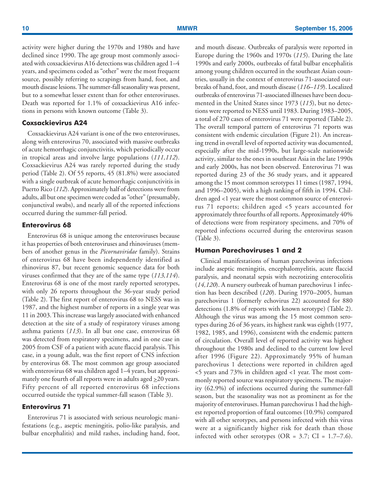activity were higher during the 1970s and 1980s and have declined since 1990. The age group most commonly associated with coxsackievirus A16 detections was children aged 1–4 years, and specimens coded as "other" were the most frequent source, possibly referring to scrapings from hand, foot, and mouth disease lesions. The summer-fall seasonality was present, but to a somewhat lesser extent than for other enteroviruses. Death was reported for 1.1% of coxsackievirus A16 infections in persons with known outcome (Table 3).

#### **Coxsackievirus A24**

Coxsackievirus A24 variant is one of the two enteroviruses, along with enterovirus 70, associated with massive outbreaks of acute hemorrhagic conjunctivitis, which periodically occur in tropical areas and involve large populations (*111,112*). Coxsackievirus A24 was rarely reported during the study period (Table 2). Of 55 reports, 45 (81.8%) were associated with a single outbreak of acute hemorrhagic conjunctivitis in Puerto Rico (*112*). Approximately half of detections were from adults, all but one specimen were coded as "other" (presumably, conjunctival swabs), and nearly all of the reported infections occurred during the summer-fall period.

#### **Enterovirus 68**

Enterovirus 68 is unique among the enteroviruses because it has properties of both enteroviruses and rhinoviruses (members of another genus in the *Picornaviridae* family). Strains of enterovirus 68 have been independently identified as rhinovirus 87, but recent genomic sequence data for both viruses confirmed that they are of the same type (*113,114*). Enterovirus 68 is one of the most rarely reported serotypes, with only 26 reports throughout the 36-year study period (Table 2). The first report of enterovirus 68 to NESS was in 1987, and the highest number of reports in a single year was 11 in 2003. This increase was largely associated with enhanced detection at the site of a study of respiratory viruses among asthma patients (*113*). In all but one case, enterovirus 68 was detected from respiratory specimens, and in one case in 2005 from CSF of a patient with acute flaccid paralysis. This case, in a young adult, was the first report of CNS infection by enterovirus 68. The most common age group associated with enterovirus 68 was children aged 1–4 years, but approximately one fourth of all reports were in adults aged  $\geq$ 20 years. Fifty percent of all reported enterovirus 68 infections occurred outside the typical summer-fall season (Table 3).

#### **Enterovirus 71**

Enterovirus 71 is associated with serious neurologic manifestations (e.g., aseptic meningitis, polio-like paralysis, and bulbar encephalitis) and mild rashes, including hand, foot, and mouth disease. Outbreaks of paralysis were reported in Europe during the 1960s and 1970s (*115*). During the late 1990s and early 2000s, outbreaks of fatal bulbar encephalitis among young children occurred in the southeast Asian countries, usually in the context of enterovirus 71-associated outbreaks of hand, foot, and mouth disease (*116–119*). Localized outbreaks of enterovirus 71-associated illnesses have been documented in the United States since 1973 (*115*), but no detections were reported to NESS until 1983. During 1983–2005, a total of 270 cases of enterovirus 71 were reported (Table 2). The overall temporal pattern of enterovirus 71 reports was consistent with endemic circulation (Figure 21). An increasing trend in overall level of reported activity was documented, especially after the mid-1990s, but large-scale nationwide activity, similar to the ones in southeast Asia in the late 1990s and early 2000s, has not been observed. Enterovirus 71 was reported during 23 of the 36 study years, and it appeared among the 15 most common serotypes 11 times (1987, 1994, and 1996–2005), with a high ranking of fifth in 1994. Children aged <1 year were the most common source of enterovirus 71 reports; children aged <5 years accounted for approximately three fourths of all reports. Approximately 40% of detections were from respiratory specimens, and 70% of reported infections occurred during the enterovirus season (Table 3).

#### **Human Parechoviruses 1 and 2**

Clinical manifestations of human parechovirus infections include aseptic meningitis, encephalomyelitis, acute flaccid paralysis, and neonatal sepsis with necrotizing enterocolitis (*14,120*). A nursery outbreak of human parechovirus 1 infection has been described (*120*). During 1970–2005, human parechovirus 1 (formerly echovirus 22) accounted for 880 detections (1.8% of reports with known serotype) (Table 2). Although the virus was among the 15 most common serotypes during 26 of 36 years, its highest rank was eighth (1977, 1982, 1985, and 1996), consistent with the endemic pattern of circulation. Overall level of reported activity was highest throughout the 1980s and declined to the current low level after 1996 (Figure 22). Approximately 95% of human parechovirus 1 detections were reported in children aged <5 years and 73% in children aged <1 year. The most commonly reported source was respiratory specimens. The majority (62.9%) of infections occurred during the summer-fall season, but the seasonality was not as prominent as for the majority of enteroviruses. Human parechovirus 1 had the highest reported proportion of fatal outcomes (10.9%) compared with all other serotypes, and persons infected with this virus were at a significantly higher risk for death than those infected with other serotypes (OR =  $3.7$ ; CI =  $1.7-7.6$ ).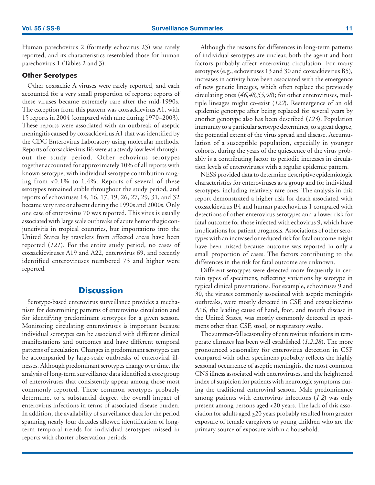<span id="page-12-0"></span>Human parechovirus 2 (formerly echovirus 23) was rarely reported, and its characteristics resembled those for human parechovirus 1 (Tables 2 and 3).

#### **Other Serotypes**

Other coxsackie A viruses were rarely reported, and each accounted for a very small proportion of reports; reports of these viruses became extremely rare after the mid-1990s. The exception from this pattern was coxsackievirus A1, with 15 reports in 2004 (compared with nine during 1970–2003). These reports were associated with an outbreak of aseptic meningitis caused by coxsackievirus A1 that was identified by the CDC Enterovirus Laboratory using molecular methods. Reports of coxsackievirus B6 were at a steady low level throughout the study period. Other echovirus serotypes together accounted for approximately 10% of all reports with known serotype, with individual serotype contribution ranging from <0.1% to 1.4%. Reports of several of these serotypes remained stable throughout the study period, and reports of echoviruses 14, 16, 17, 19, 26, 27, 29, 31, and 32 became very rare or absent during the 1990s and 2000s. Only one case of enterovirus 70 was reported. This virus is usually associated with large scale outbreaks of acute hemorrhagic conjunctivitis in tropical countries, but importations into the United States by travelers from affected areas have been reported (*121*). For the entire study period, no cases of coxsackieviruses A19 and A22, enterovirus 69, and recently identified enteroviruses numbered 73 and higher were reported.

### **Discussion**

Serotype-based enterovirus surveillance provides a mechanism for determining patterns of enterovirus circulation and for identifying predominant serotypes for a given season. Monitoring circulating enteroviruses is important because individual serotypes can be associated with different clinical manifestations and outcomes and have different temporal patterns of circulation. Changes in predominant serotypes can be accompanied by large-scale outbreaks of enteroviral illnesses. Although predominant serotypes change over time, the analysis of long-term surveillance data identified a core group of enteroviruses that consistently appear among those most commonly reported. These common serotypes probably determine, to a substantial degree, the overall impact of enterovirus infections in terms of associated disease burden. In addition, the availability of surveillance data for the period spanning nearly four decades allowed identification of longterm temporal trends for individual serotypes missed in reports with shorter observation periods.

Although the reasons for differences in long-term patterns of individual serotypes are unclear, both the agent and host factors probably affect enterovirus circulation. For many serotypes (e.g., echoviruses 13 and 30 and coxsackievirus B5), increases in activity have been associated with the emergence of new genetic lineages, which often replace the previously circulating ones (*46,48,55,98*); for other enteroviruses, multiple lineages might co-exist (*122*). Reemergence of an old epidemic genotype after being replaced for several years by another genotype also has been described (*123*). Population immunity to a particular serotype determines, to a great degree, the potential extent of the virus spread and disease. Accumulation of a susceptible population, especially in younger cohorts, during the years of the quiescence of the virus probably is a contributing factor to periodic increases in circulation levels of enteroviruses with a regular epidemic pattern.

NESS provided data to determine descriptive epidemiologic characteristics for enteroviruses as a group and for individual serotypes, including relatively rare ones. The analysis in this report demonstrated a higher risk for death associated with coxsackievirus B4 and human parechovirus 1 compared with detections of other enterovirus serotypes and a lower risk for fatal outcome for those infected with echovirus 9, which have implications for patient prognosis. Associations of other serotypes with an increased or reduced risk for fatal outcome might have been missed because outcome was reported in only a small proportion of cases. The factors contributing to the differences in the risk for fatal outcome are unknown.

Different serotypes were detected more frequently in certain types of specimens, reflecting variations by serotype in typical clinical presentations. For example, echoviruses 9 and 30, the viruses commonly associated with aseptic meningitis outbreaks, were mostly detected in CSF, and coxsackievirus A16, the leading cause of hand, foot, and mouth disease in the United States, was mostly commonly detected in specimens other than CSF, stool, or respiratory swabs.

The summer-fall seasonality of enterovirus infections in temperate climates has been well established (*1,2,28*). The more pronounced seasonality for enterovirus detection in CSF compared with other specimens probably reflects the highly seasonal occurrence of aseptic meningitis, the most common CNS illness associated with enteroviruses, and the heightened index of suspicion for patients with neurologic symptoms during the traditional enteroviral season. Male predominance among patients with enterovirus infections (*1,2*) was only present among persons aged <20 years. The lack of this association for adults aged  $\geq$ 20 years probably resulted from greater exposure of female caregivers to young children who are the primary source of exposure within a household.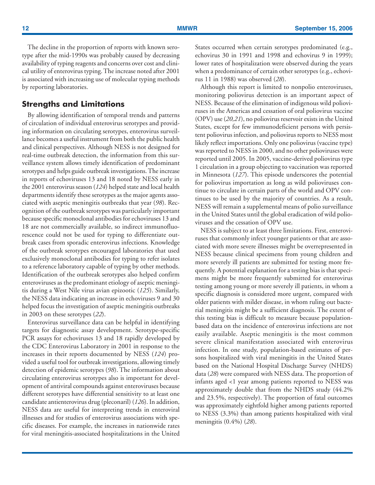The decline in the proportion of reports with known serotype after the mid-1990s was probably caused by decreasing availability of typing reagents and concerns over cost and clinical utility of enterovirus typing. The increase noted after 2001 is associated with increasing use of molecular typing methods by reporting laboratories.

### **Strengths and Limitations**

By allowing identification of temporal trends and patterns of circulation of individual enterovirus serotypes and providing information on circulating serotypes, enterovirus surveillance becomes a useful instrument from both the public health and clinical perspectives. Although NESS is not designed for real-time outbreak detection, the information from this surveillance system allows timely identification of predominant serotypes and helps guide outbreak investigations. The increase in reports of echoviruses 13 and 18 noted by NESS early in the 2001 enterovirus season (*124*) helped state and local health departments identify these serotypes as the major agents associated with aseptic meningitis outbreaks that year (*98*). Recognition of the outbreak serotypes was particularly important because specific monoclonal antibodies for echoviruses 13 and 18 are not commercially available, so indirect immunofluorescence could not be used for typing to differentiate outbreak cases from sporadic enterovirus infections. Knowledge of the outbreak serotypes encouraged laboratories that used exclusively monoclonal antibodies for typing to refer isolates to a reference laboratory capable of typing by other methods. Identification of the outbreak serotypes also helped confirm enteroviruses as the predominant etiology of aseptic meningitis during a West Nile virus avian epizootic (*125*). Similarly, the NESS data indicating an increase in echoviruses 9 and 30 helped focus the investigation of aseptic meningitis outbreaks in 2003 on these serotypes (*22*).

Enterovirus surveillance data can be helpful in identifying targets for diagnostic assay development. Serotype-specific PCR assays for echoviruses 13 and 18 rapidly developed by the CDC Enterovirus Laboratory in 2001 in response to the increases in their reports documented by NESS (*124*) provided a useful tool for outbreak investigations, allowing timely detection of epidemic serotypes (*98*). The information about circulating enterovirus serotypes also is important for development of antiviral compounds against enteroviruses because different serotypes have differential sensitivity to at least one candidate antienterovirus drug (pleconaril) (*126*). In addition, NESS data are useful for interpreting trends in enteroviral illnesses and for studies of enterovirus associations with specific diseases. For example, the increases in nationwide rates for viral meningitis-associated hospitalizations in the United States occurred when certain serotypes predominated (e.g., echovirus 30 in 1991 and 1998 and echovirus 9 in 1999); lower rates of hospitalization were observed during the years when a predominance of certain other serotypes (e.g., echovirus 11 in 1988) was observed (*28*).

Although this report is limited to nonpolio enteroviruses, monitoring poliovirus detection is an important aspect of NESS. Because of the elimination of indigenous wild polioviruses in the Americas and cessation of oral poliovirus vaccine (OPV) use (*20,21*), no poliovirus reservoir exists in the United States, except for few immunodeficient persons with persistent poliovirus infection, and poliovirus reports to NESS most likely reflect importations. Only one poliovirus (vaccine type) was reported to NESS in 2000, and no other polioviruses were reported until 2005. In 2005, vaccine-derived poliovirus type 1 circulation in a group objecting to vaccination was reported in Minnesota (*127*). This episode underscores the potential for poliovirus importation as long as wild polioviruses continue to circulate in certain parts of the world and OPV continues to be used by the majority of countries. As a result, NESS will remain a supplemental means of polio surveillance in the United States until the global eradication of wild polioviruses and the cessation of OPV use.

NESS is subject to at least three limitations. First, enteroviruses that commonly infect younger patients or that are associated with more severe illnesses might be overrepresented in NESS because clinical specimens from young children and more severely ill patients are submitted for testing more frequently. A potential explanation for a testing bias is that specimens might be more frequently submitted for enterovirus testing among young or more severely ill patients, in whom a specific diagnosis is considered more urgent, compared with older patients with milder disease, in whom ruling out bacterial meningitis might be a sufficient diagnosis. The extent of this testing bias is difficult to measure because populationbased data on the incidence of enterovirus infections are not easily available. Aseptic meningitis is the most common severe clinical manifestation associated with enterovirus infection. In one study, population-based estimates of persons hospitalized with viral meningitis in the United States based on the National Hospital Discharge Survey (NHDS) data (*28*) were compared with NESS data. The proportion of infants aged <1 year among patients reported to NESS was approximately double that from the NHDS study (44.2% and 23.5%, respectively). The proportion of fatal outcomes was approximately eightfold higher among patients reported to NESS (3.3%) than among patients hospitalized with viral meningitis (0.4%) (*28*).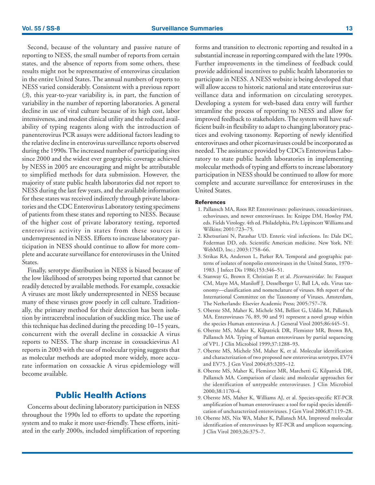<span id="page-14-0"></span>Second, because of the voluntary and passive nature of reporting to NESS, the small number of reports from certain states, and the absence of reports from some others, these results might not be representative of enterovirus circulation in the entire United States. The annual numbers of reports to NESS varied considerably. Consistent with a previous report (*3*), this year-to-year variability is, in part, the function of variability in the number of reporting laboratories. A general decline in use of viral culture because of its high cost, labor intensiveness, and modest clinical utility and the reduced availability of typing reagents along with the introduction of panenterovirus PCR assays were additional factors leading to the relative decline in enterovirus surveillance reports observed during the 1990s. The increased number of participating sites since 2000 and the widest ever geographic coverage achieved by NESS in 2005 are encouraging and might be attributable to simplified methods for data submission. However, the majority of state public health laboratories did not report to NESS during the last few years, and the available information for these states was received indirectly through private laboratories and the CDC Enterovirus Laboratory testing specimens of patients from these states and reporting to NESS. Because of the higher cost of private laboratory testing, reported enterovirus activity in states from these sources is underrepresented in NESS. Efforts to increase laboratory participation in NESS should continue to allow for more complete and accurate surveillance for enteroviruses in the United States.

Finally, serotype distribution in NESS is biased because of the low likelihood of serotypes being reported that cannot be readily detected by available methods. For example, coxsackie A viruses are most likely underrepresented in NESS because many of these viruses grow poorly in cell culture. Traditionally, the primary method for their detection has been isolation by intracerebral inoculation of suckling mice. The use of this technique has declined during the preceding 10–15 years, concurrent with the overall decline in coxsackie A virus reports to NESS. The sharp increase in coxsackievirus A1 reports in 2003 with the use of molecular typing suggests that as molecular methods are adopted more widely, more accurate information on coxsackie A virus epidemiology will become available.

## **Public Health Actions**

Concerns about declining laboratory participation in NESS throughout the 1990s led to efforts to update the reporting system and to make it more user-friendly. These efforts, initiated in the early 2000s, included simplification of reporting forms and transition to electronic reporting and resulted in a substantial increase in reporting compared with the late 1990s. Further improvements in the timeliness of feedback could provide additional incentives to public health laboratories to participate in NESS. A NESS website is being developed that will allow access to historic national and state enterovirus surveillance data and information on circulating serotypes. Developing a system for web-based data entry will further streamline the process of reporting to NESS and allow for improved feedback to stakeholders. The system will have sufficient built-in flexibility to adapt to changing laboratory practices and evolving taxonomy. Reporting of newly identified enteroviruses and other picornaviruses could be incorporated as needed. The assistance provided by CDC's Enterovirus Laboratory to state public health laboratories in implementing molecular methods of typing and efforts to increase laboratory participation in NESS should be continued to allow for more complete and accurate surveillance for enteroviruses in the United States.

#### **References**

- 1. Pallansch MA, Roos RP. Enteroviruses: polioviruses, coxsackieviruses, echoviruses, and newer enteroviruses. In: Knippe DM, Howley PM, eds. Fields Virology. 4th ed. Philadelphia, PA: Lippincott Williams and Wilkins; 2001:723–75.
- 2. Khetsuriani N, Parashar UD. Enteric viral infections. In: Dale DC, Federman DD, eds. Scientific American medicine. New York, NY: WebMD, Inc.; 2003:1758–66.
- 3. Strikas RA, Anderson L, Parker RA. Temporal and geographic patterns of isolates of nonpolio enteroviruses in the United States, 1970– 1983. J Infect Dis 1986;153:346–51.
- 4. Stanway G, Brown F, Christian P, et al. *Picornaviridae*. In: Fauquet CM, Mayo MA, Maniloff J, Desselberger U, Ball LA, eds. Virus taxonomy—classification and nomenclature of viruses. 8th report of the International Committee on the Taxonomy of Viruses. Amsterdam, The Netherlands: Elsevier Academic Press; 2005:757–78.
- 5. Oberste SM, Maher K, Michele SM, Belliot G, Uddin M, Pallansch MA. Enteroviruses 76, 89, 90 and 91 represent a novel group within the species Human enterovirus A. J General Virol 2005;86:445–51.
- 6. Oberste MS, Maher K, Kilpatrick DR, Flemister MR, Brown BA, Pallansch MA. Typing of human enteroviruses by partial sequencing of VP1. J Clin Microbiol 1999;37:1288–93.
- 7. Oberste MS, Michele SM, Maher K, et al. Molecular identification and characterization of two proposed new enterovirus serotypes, EV74 and EV75. J Gen Virol 2004;85:3205–12.
- 8. Oberste MS, Maher K, Flemister MR, Marchetti G, Kilpatrick DR, Pallansch MA. Comparison of classic and molecular approaches for the identification of untypeable enteroviruses. J Clin Microbiol 2000;38:1170–4.
- 9. Oberste MS, Maher K, Williams AJ, et al. Species-specific RT-PCR amplification of human enteroviruses: a tool for rapid species identification of uncharacterized enteroviruses. J Gen Virol 2006;87:119–28.
- 10. Oberste MS, Nix WA, Maher K, Pallansch MA. Improved molecular identification of enteroviruses by RT-PCR and amplicon sequencing. J Clin Virol 2003;26:375–7.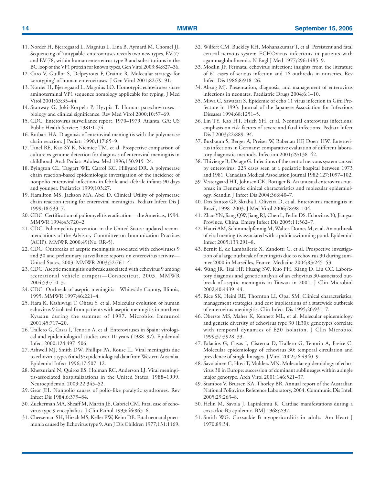- 11. Norder H, Bjerregaard L, Magnius L, Lina B, Aymard M, Chomel JJ. Sequencing of 'untypable' enteroviruses reveals two new types, EV-77 and EV-78, within human enterovirus type B and substitutions in the BC loop of the VP1 protein for known types. Gen Virol 2003;84:827–36.
- 12. Caro V, Guillot S, Delpeyroux F, Crainic R. Molecular strategy for 'serotyping' of human enteroviruses. J Gen Virol 2001;82:79–91.
- 13. Norder H, Bjerregaard L, Magnius LO. Homotypic echoviruses share aminoterminal VP1 sequence homology applicable for typing. J Med Virol 2001;63:35–44.
- 14. Stanway G, Joki-Korpela P, Hyypia T. Human parechoviruses biology and clinical significance. Rev Med Virol 2000;10:57–69.
- 15. CDC. Enterovirus surveillance report, 1970–1979. Atlanta, GA: US Public Health Service; 1981:1–74.
- 16. Rotbart HA. Diagnosis of enteroviral meningitis with the polymerase chain reaction. J Pediatr 1990;117:85–9.
- 17. Tanel RE, Kao SY K, Niemiec TM, et al. Prospective comparison of culture vs genome detection for diagnosis of enteroviral meningitis in childhood. Arch Pediatr Adolesc Med 1996;150:919–24.
- 18. Byington CL, Taggart WE, Carrol KC, Hillyard DR. A polymerase chain reaction-based epidemiologic investigation of the incidence of nonpolio enteroviral infections in febrile and afebrile infants 90 days and younger. Pediatrics 1999;103:27.
- 19. Hamilton MS, Jackson MA, Abel D. Clinical Utility of polymerase chain reaction testing for enteroviral meningitis. Pediatr Infect Dis J 1999;18:533–7.
- 20. CDC. Certification of poliomyelitis eradication—the Americas, 1994. MMWR 1994;43:720–2.
- 21. CDC. Poliomyelitis prevention in the United States: updated recommendations of the Advisory Committee on Immunization Practices (ACIP). MMWR 2000;49(No. RR-5).
- 22. CDC. Outbreaks of aseptic meningitis associated with echoviruses 9 and 30 and preliminary surveillance reports on enterovirus activity— United States, 2003. MMWR 2003;52:761–4.
- 23. CDC. Aseptic meningitis outbreak associated with echovirus 9 among recreational vehicle campers—Connecticut, 2003. MMWR 2004;53:710–3.
- 24. CDC. Outbreak of aseptic meningitis—Whiteside County, Illinois, 1995. MMWR 1997;46:221–4.
- 25. Hara K, Kashiwagi T, Ohtsu Y, et al. Molecular evolution of human echovirus 9 isolated from patients with aseptic meningitis in northern Kyushu during the summer of 1997. Microbiol Immunol 2001;45:717–20.
- 26. Trallero G, Casas I, Tenorio A, et al. Enteroviruses in Spain: virological and epidemiological studies over 10 years (1988–97). Epidemiol Infect 2000;124:497–506.
- 27. Ashwell MJ, Smith DW, Phillips PA, Rouse IL. Viral meningitis due to echovirus types 6 and 9: epidemiological data from Western Australia. Epidemiol Infect 1996;17:507–12.
- 28. Khetsuriani N, Quiroz ES, Holman RC, Anderson LJ. Viral meningitis-associated hospitalizations in the United States, 1988–1999. Neuroepidemiol 2003;22:345–52.
- 29. Gear JH. Nonpolio causes of polio-like paralytic syndromes. Rev Infect Dis 1984;6:379–84.
- 30. Zuckerman MA, Sheaff M, Martin JE, Gabriel CM. Fatal case of echovirus type 9 encephalitis. J Clin Pathol 1993;46:865-6.
- 31. Cheeseman SH, Hirsch MS, Keller EW, Keim DE. Fatal neonatal pneumonia caused by Echovirus type 9. Am J Dis Children 1977;131:1169.
- 32. Wilfert CM, Buckley RH, Mohanakumar T, et al. Persistent and fatal central-nervous-system ECHOvirus infections in patients with agammaglobulinemia. N Engl J Med 1977;296:1485–9.
- 33. Modlin JF. Perinatal echovirus infection: insights from the literature of 61 cases of serious infection and 16 outbreaks in nurseries. Rev Infect Dis 1986;8:918–26.
- 34. Abzug MJ. Presentation, diagnosis, and management of enterovirus infections in neonates. Paediatric Drugs 2004;6:1–10.
- 35. Miwa C, Sawatari S. Epidemic of echo 11 virus infection in Gifu Prefecture in 1993. Journal of the Japanese Association for Infectious Diseases 1994;68:1251–5.
- 36. Lin TY, Kao HT, Hsieh SH, et al. Neonatal enterovirus infections: emphasis on risk factors of severe and fatal infections. Pediatr Infect Dis J 2003;22:889–94.
- 37. Buxbaum S, Berger A, Preiser W, Rabenau HF, Doerr HW. Enterovirus infections in Germany: comparative evaluation of different laboratory diagnostic methods. Infection 2001;29:138–42.
- 38. Thivierge B, Delage G. Infections of the central nervous system caused by enterovirus: 223 cases seen at a pediatric hospital between 1973 and 1981. Canadian Medical Association Journal 1982;127:1097–102.
- 39. Vestergaard HT, Johnsen CK, Bottiger B. An unusual enterovirus outbreak in Denmark: clinical characteristics and molecular epidemiology. Scandin J Infect Dis 2004;36:840–7.
- 40. Dos Santos GP, Skraba I, Oliveira D, et al. Enterovirus meningitis in Brazil, 1998–2003. J Med Virol 2006;78:98–104.
- 41. Zhao YN, Jiang QW, Jiang RJ, Chen L, Perlin DS. Echovirus 30, Jiangsu Province, China. Emerg Infect Dis 2005;11:562–7.
- 42. Hauri AM, Schimmelpfennig M, Walter-Domes M, et al. An outbreak of viral meningitis associated with a public swimming pond. Epidemiol Infect 2005;133:291–8.
- 43. Bernit E, de Lamballerie X, Zandotti C, et al. Prospective investigation of a large outbreak of meningitis due to echovirus 30 during summer 2000 in Marseilles, France. Medicine 2004;83:245–53.
- 44. Wang JR, Tsai HP, Huang SW, Kuo PH, Kiang D, Liu CC. Laboratory diagnosis and genetic analysis of an echovirus 30-associated outbreak of aseptic meningitis in Taiwan in 2001. J Clin Microbiol 2002;40:4439–44.
- 45. Rice SK, Heinl RE, Thornton LI, Opal SM. Clinical characteristics, management strategies, and cost implications of a statewide outbreak of enterovirus meningitis. Clin Infect Dis 1995;20:931–7.
- 46. Oberste MS, Maher K, Kennett ML, et al. Molecular epidemiology and genetic diversity of echovirus type 30 (E30): genotypes correlate with temporal dynamics of E30 isolation. J Clin Microbiol 1999;37:3928–33.
- 47. Palacios G, Casas I, Cisterna D, Trallero G, Tenorio A, Freire C. Molecular epidemiology of echovirus 30: temporal circulation and prevalence of single lineages. J Virol 2002;76:4940–9.
- 48. Savolainen C, Hovi T, Mulders MN. Molecular epidemiology of echovirus 30 in Europe: succession of dominant sublineages within a single major genotype. Arch Virol 2001;146:521–37.
- 49. Stambos V, Brussen KA, Thorley BR. Annual report of the Australian National Poliovirus Reference Laboratory, 2004. Communic Dis Intell 2005;29:263–8.
- 50. Helin M, Savola J, Lapinleimu K. Cardiac manifestations during a coxsackie B5 epidemic. BMJ 1968;2:97.
- 51. Smith WG. Coxsackie B myopericarditis in adults. Am Heart J 1970;89:34.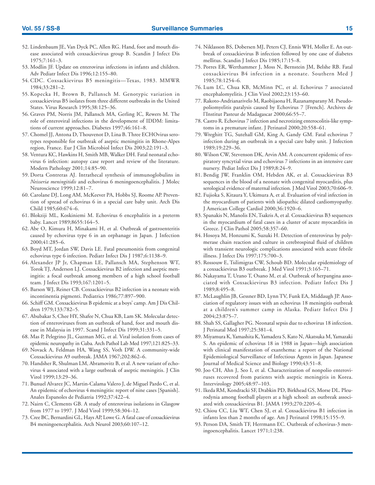- 52. Lindenbaum JE, Van Dyck PC, Allen RG. Hand, foot and mouth disease associated with coxsackievirus group B. Scandin J Infect Dis 1975;7:161–3.
- 53. Modlin JF. Update on enterovirus infections in infants and children. Adv Pediatr Infect Dis 1996;12:155–80.
- 54. CDC. Coxsackievirus B5 meningitis—Texas, 1983. MMWR 1984;33:281–2.
- 55. Kopecka H, Brown B, Pallansch M. Genotypic variation in coxsackievirus B5 isolates from three different outbreaks in the United States. Virus Research 1995;38:125–36.
- 56. Graves PM, Norris JM, Pallansch MA, Gerling IC, Rewers M. The role of enteroviral infections in the development of IDDM: limitations of current approaches. Diabetes 1997;46:161–8.
- 57. Chomel JJ, Antona D, Thouvenot D, Lina B. Three ECHOvirus serotypes responsible for outbreak of aseptic meningitis in Rhone-Alpes region, France. Eur J Clin Microbiol Infect Dis 2003;22:191–3.
- 58. Ventura KC, Hawkins H, Smith MB, Walker DH. Fatal neonatal echovirus 6 infection: autopsy case report and review of the literature. Modern Pathology 2001;14:85–90.
- 59. Dorta Contreras AJ. Intrathecal synthesis of immunoglobulins in *Neisseria meningitidis* and echovirus 6 meningoencephalitis. J Molec Neuroscience 1999;12:81–7.
- 60. Carolane DJ, Long AM, McKeever PA, Hobbs SJ, Roome AP. Prevention of spread of echovirus 6 in a special care baby unit. Arch Dis Child 1985;60:674–6.
- 61. Blokziji ML, Koskiniemi M. Echovirus 6 encephalitis in a preterm baby. Lancet 1989;8655:164–5.
- 62. Abe O, Kimura H, Minakami H, et al. Outbreak of gastroenteritis caused by echovirus type 6 in an orphanage in Japan. J Infection 2000;41:285–6.
- 63. Boyd MT, Jordan SW, Davis LE. Fatal pneumonitis from congenital echovirus type 6 infection. Pediatr Infect Dis J 1987;6:1138–9.
- 64. Alexander JP Jr, Chapman LE, Pallansch MA, Stephenson WT, Torok TJ, Anderson LJ. Coxsackievirus B2 infection and aseptic meningitis: a focal outbreak among members of a high school football team. J Infect Dis 1993;167:1201–5.
- 65. Barson WJ, Reiner CB. Coxsackievirus B2 infection in a neonate with incontinentia pigmenti. Pediatrics 1986;77:897–900.
- 66. Schiff GM. Coxsackievirus B epidemic at a boys' camp. Am J Dis Children 1979;133:782–5.
- 67. Abubakar S, Chee HY, Shafee N, Chua KB, Lam SK. Molecular detection of enteroviruses from an outbreak of hand, foot and mouth disease in Malaysia in 1997. Scand J Infect Dis 1999;31:331–5.
- 68. Mas P, Pelegrino JL, Guzman MG, et al. Viral isolation from cases of epidemic neuropathy in Cuba. Arch Pathol Lab Med 1997;121:825–33.
- 69. Novack A, Feldman HA, Wang SS, Voth DW. A community-wide Coxsackievirus A9 outbreak. JAMA 1967;202:862–6.
- 70. Handsher R, Shulman LM, Abramovitz B, et al. A new variant of echovirus 4 associated with a large outbreak of aseptic meningitis. J Clin Virol 1999;13:29–36.
- 71. Bunuel Alvarez JC, Martin-Calama Valero J, de Miguel Pardo C, et al. An epidemic of echovirus 4 meningitis: report of nine cases [Spanish]. Anales Espanoles de Pediatria 1992;37:422–4.
- 72. Nairn C, Clements GB. A study of enterovirus isolations in Glasgow from 1977 to 1997. J Med Virol 1999;58:304–12.
- 73. Cree BC, Bernardini GL, Hays AP, Lowe G. A fatal case of coxsackievirus B4 meningoencephalitis. Arch Neurol 2003;60:107–12.
- 74. Niklasson BS, Dobersen MJ, Peters CJ, Ennis WH, Moller E. An outbreak of coxsackievirus B infection followed by one case of diabetes mellitus. Scandin J Infect Dis 1985;17:15–8.
- 75. Porres ER, Werthammer J, Moss N, Bernstein JM, Belshe RB. Fatal coxsackievirus B4 infection in a neonate. Southern Med J 1985;78:1254–6.
- 76. Lum LC, Chua KB, McMinn PC, et al. Echovirus 7 associated encephalomyelitis. J Clin Virol 2002;23:153–60.
- 77. Rakoto-Andrianarivelo M, Raobijaona H, Razanamparany M. Pseudopoliomyelitis paralysis caused by Echovirus 7 [French]. Archives de l'Institut Pasteur de Madagascar 2000;66:55–7.
- 78. Castro R. Echovirus 7 infection and necrotizing enterocolitis-like symptoms in a premature infant. J Perinatol 2000;20:558–61.
- 79. Wreghitt TG, Sutehall GM, King A, Gandy GM. Fatal echovirus 7 infection during an outbreak in a special care baby unit. J Infection 1989;19:229–36.
- 80. Wilson CW, Stevenson DK, Arvin AM. A concurrent epidemic of respiratory syncytial virus and echovirus 7 infections in an intensive care nursery. Pediat Infect Dis J 1989;8:24–9.
- 81. Bendig JW, Franklin OM, Hebden AK, et al. Coxsackievirus B3 sequences in the blood of a neonate with congenital myocarditis, plus serological evidence of maternal infection. J Med Virol 2003;70:606–9.
- 82. Fujioka S, Kitaura Y, Ukimura A, et al. Evaluation of viral infection in the myocardium of patients with idiopathic dilated cardiomyopathy. J American College Cardiol 2000;36:1920–6.
- 83. Spanakis N, Manolis EN, Tsakris A, et al. Coxsackievirus B3 sequences in the myocardium of fatal cases in a cluster of acute myocarditis in Greece. J Clin Pathol 2005;58:357–60.
- 84. Hosoya M, Honzumi K, Suzuki H. Detection of enterovirus by polymerase chain reaction and culture in cerebrospinal fluid of children with transient neurologic complications associated with acute febrile illness. J Infect Dis 1997;175:700–3.
- 85. Rossouw E, Tsilimigras CW, Schoub BD. Molecular epidemiology of a coxsackievirus B3 outbreak. J Med Virol 1991;3:165–71.
- 86. Nakayama T, Urano T, Osano M, et al. Outbreak of herpangina associated with Coxsackievirus B3 infection. Pediatr Infect Dis J 1989;8:495–8.
- 87. McLaughlin JB, Gessner BD, Lynn TV, Funk EA, Middaugh JP. Association of regulatory issues with an echovirus 18 meningitis outbreak at a children's summer camp in Alaska. Pediatr Infect Dis J 2004;23:875–7.
- 88. Shah SS, Gallagher PG. Neonatal sepsis due to echovirus 18 infection. J Perinatal Med 1997;25:381–4.
- 89. Miyamura K, Yamashita K, Yamadera S, Kato N, Akatsuka M, Yamazaki S. An epidemic of echovirus 18 in 1988 in Japan—high association with clinical manifestation of exanthema: a report of the National Epidemiological Surveillance of Infectious Agents in Japan. Japanese Journal of Medical Science and Biology 1990;43:51–8.
- 90. Joo CH, Ahn J, Seo I, et al. Characterization of nonpolio enteroviruses recovered from patients with aseptic meningitis in Korea. Intervirology 2005;48:97–103.
- 91. Ikeda RM, Kondracki SF, Drabkin PD, Birkhead GS, Morse DL. Pleurodynia among football players at a high school: an outbreak associated with coxsackievirus B1. JAMA 1993;270:2205–6.
- 92. Chiou CC, Liu WT, Chen SJ, et al. Coxsackievirus B1 infection in infants less than 2 months of age. Am J Perinatol 1998;15:155–9.
- 93. Person DA, Smith TF, Herrmann EC. Outbreak of echovirus-3 meningoencephalitis. Lancet 1971;1:238.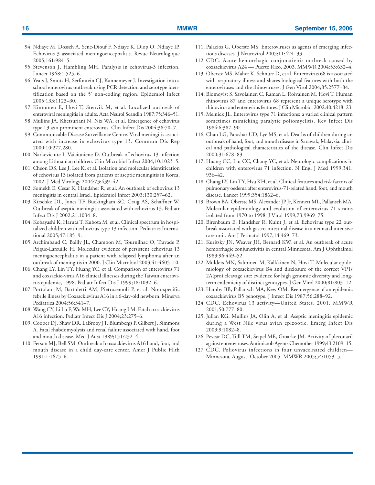- 94. Ndiaye M, Dosseh A, Sene-Diouf F, Ndiaye K, Diop O, Ndiaye IP. Echovirus 3 associated meningoencephalitis. Revue Neurologique 2005;161:984–5.
- 95. Stevenson J, Hambling MH. Paralysis in echovirus-3 infection. Lancet 1968;1:525–6.
- 96. Yeats J, Smuts H, Serfontein CJ, Kannemeyer J. Investigation into a school enterovirus outbreak using PCR detection and serotype identification based on the 5' non-coding region. Epidemiol Infect 2005;133:1123–30.
- 97. Kinnunen E, Hovi T, Stenvik M, et al. Localized outbreak of enteroviral meningitis in adults. Acta Neurol Scandin 1987;75:346–51.
- 98. Mullins JA, Khetsuriani N, Nix WA, et al. Emergence of echovirus type 13 as a prominent enterovirus. Clin Infect Dis 2004;38:70–7.
- 99. Communicable Disease Surveillance Centre. Viral meningitis associated with increase in echovirus type 13. Commun Dis Rep 2000;10:277,280.
- 100. Narkeviciute I, Vaiciuniene D. Outbreak of echovirus 13 infection among Lithuanian children. Clin Microbiol Infect 2004;10:1023–5.
- 101. Cheon DS, Lee J, Lee K, et al. Isolation and molecular identification of echovirus 13 isolated from patients of aseptic meningitis in Korea, 2002. J Med Virology 2004;73:439–42.
- 102. Somekh E, Cesar K, Handsher R, et al. An outbreak of echovirus 13 meningitis in central Israel. Epidemiol Infect 2003;130:257–62.
- 103. Kirschke DL, Jones TF, Buckingham SC, Craig AS, Schaffner W. Outbreak of aseptic meningitis associated with echovirus 13. Pediatr Infect Dis J 2002;21:1034–8.
- 104. Kobayashi K, Haruta T, Kubota M, et al. Clinical spectrum in hospitalized children with echovirus type 13 infection. Pediatrics International 2005;47:185–9.
- 105. Archimbaud C, Bailly JL, Chambon M, Tournilhac O, Travade P, Peigue-Lafeuille H. Molecular evidence of persistent echovirus 13 meningoencephalitis in a patient with relapsed lymphoma after an outbreak of meningitis in 2000. J Clin Microbiol 2003;41:4605–10.
- 106. Chang LY, Lin TY, Huang YC, et al. Comparison of enterovirus 71 and coxsackie-virus A16 clinical illnesses during the Taiwan enterovirus epidemic, 1998. Pediatr Infect Dis J 1999;18:1092–6.
- 107. Portolani M, Bartoletti AM, Pietrosemoli P, et al. Non-specific febrile illness by Coxsackievirus A16 in a 6-day-old newborn. Minerva Pediatrica 2004;56:341–7.
- 108. Wang CY, Li Lu F, Wu MH, Lee CY, Huang LM. Fatal coxsackievirus A16 infection. Pediatr Infect Dis J 2004;23:275–6.
- 109. Cooper DJ, Shaw DR, LaBrooy JT, Blumbergs P, Gilbert J, Simmons A. Fatal rhabdomyolysis and renal failure associated with hand, foot and mouth disease. Med J Aust 1989;151:232–4.
- 110. Ferson MJ, Bell SM. Outbreak of coxsackievirus A16 hand, foot, and mouth disease in a child day-care center. Amer J Public Hlth 1991;1:1675–6.
- 111. Palacios G, Oberste MS. Enteroviruses as agents of emerging infectious diseases. J Neurovirol 2005;11:424–33.
- 112. CDC. Acute hemorrhagic conjunctivitis outbreak caused by coxsackievirus A24 — Puerto Rico, 2003. MMWR 2004;53:632–4.
- 113. Oberste MS, Maher K, Schnurr D, et al. Enterovirus 68 is associated with respiratory illness and shares biological features with both the enteroviruses and the rhinoviruses. J Gen Virol 2004;85:2577–84.
- 114. Blomqvist S, Savolainen C, Raman L, Roivainen M, Hovi T. Human rhinovirus 87 and enterovirus 68 represent a unique serotype with rhinovirus and enterovirus features. J Clin Microbiol 2002;40:4218–23.
- 115. Melnick JL. Enterovirus type 71 infections: a varied clinical pattern sometimes mimicking paralytic poliomyelitis. Rev Infect Dis 1984;6:387–90.
- 116. Chan LG, Parashar UD, Lye MS, et al. Deaths of children during an outbreak of hand, foot, and mouth disease in Sarawak, Malaysia: clinical and pathological characteristics of the disease. Clin Infect Dis 2000;31:678–83.
- 117. Huang CC, Liu CC, Chang YC, et al. Neurologic complications in children with enterovirus 71 infection. N Engl J Med 1999;341: 936–42.
- 118. Chang LY, Lin TY, Hsu KH, et al. Clinical features and risk factors of pulmonary oedema after enterovirus-71-related hand, foot, and mouth disease. Lancet 1999;354:1862–6.
- 119. Brown BA, Oberste MS, Alexander JP Jr, Kennett ML, Pallansch MA. Molecular epidemiology and evolution of enterovirus 71 strains isolated from 1970 to 1998. J Virol 1999;73:9969–75.
- 120. Birenbaum E, Handsher R, Kuint J, et al. Echovirus type 22 outbreak associated with gastro-intestinal disease in a neonatal intensive care unit. Am J Perinatol 1997;14:469–73.
- 121. Kuritsky JN, Weaver JH, Bernard KW, et al. An outbreak of acute hemorrhagic conjunctivitis in central Minnesota. Am J Ophthalmol 1983;96:449–52.
- 122. Mulders MN, Salminen M, Kalkkinen N, Hovi T. Molecular epidemiology of coxsackievirus B4 and disclosure of the correct VP1/ 2A(pro) cleavage site: evidence for high genomic diversity and longterm endemicity of distinct genotypes. J Gen Virol 2000;81:803–12.
- 123. Hamby BB, Pallansch MA, Kew OM. Reemergence of an epidemic coxsackievirus B5 genotype. J Infect Dis 1987;56:288–92.
- 124. CDC. Echovirus 13 activity—United States, 2001. MMWR 2001;50:777–80.
- 125. Julian KG, Mullins JA, Olin A, et al. Aseptic meningitis epidemic during a West Nile virus avian epizootic. Emerg Infect Dis 2003;9:1082–8.
- 126. Pevear DC, Tull TM, Seipel ME, Groarke JM. Activity of pleconaril against enteroviruses. Antimicrob Agents Chemother 1999;43:2109–15.
- 127. CDC. Poliovirus infections in four unvaccinated children— Minnesota, August–October 2005. MMWR 2005;54:1053–5.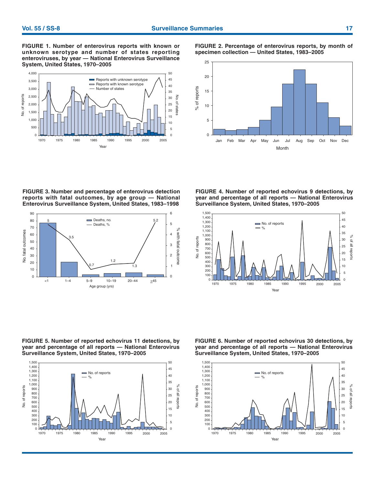**FIGURE 1. Number of enterovirus reports with known or unknown serotype and number of states reporting enteroviruses, by year — National Enterovirus Surveillance System, United States, 1970–2005**



**FIGURE 2. Percentage of enterovirus reports, by month of specimen collection — United States, 1983–2005**



**FIGURE 3. Number and percentage of enterovirus detection reports with fatal outcomes, by age group — National Enterovirus Surveillance System, United States, 1983–1998**



**FIGURE 4. Number of reported echovirus 9 detections, by year and percentage of all reports — National Enterovirus Surveillance System, United States, 1970–2005**



**FIGURE 5. Number of reported echovirus 11 detections, by year and percentage of all reports — National Enterovirus Surveillance System, United States, 1970–2005**



**FIGURE 6. Number of reported echovirus 30 detections, by year and percentage of all reports — National Enterovirus Surveillance System, United States, 1970–2005**

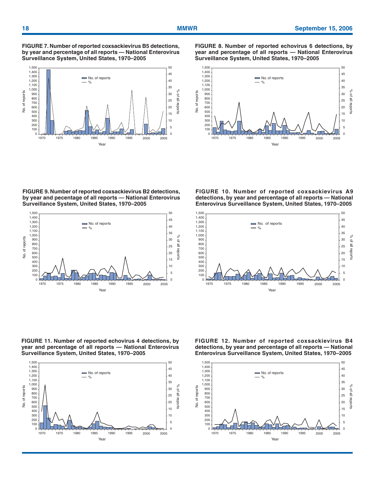**FIGURE 7. Number of reported coxsackievirus B5 detections, by year and percentage of all reports — National Enterovirus Surveillance System, United States, 1970–2005**



**FIGURE 8. Number of reported echovirus 6 detections, by year and percentage of all reports — National Enterovirus Surveillance System, United States, 1970–2005**



**FIGURE 9. Number of reported coxsackievirus B2 detections, by year and pecentage of all reports — National Enterovirus Surveillance System, United States, 1970–2005**



**FIGURE 11. Number of reported echovirus 4 detections, by year and percentage of all reports — National Enterovirus Surveillance System, United States, 1970–2005**



**FIGURE 10. Number of reported coxsackievirus A9 detections, by year and percentage of all reports — National Enterovirus Surveillance System, United States, 1970–2005**



**FIGURE 12. Number of reported coxsackievirus B4 detections, by year and percentage of all reports — National Enterovirus Surveillance System, United States, 1970–2005**

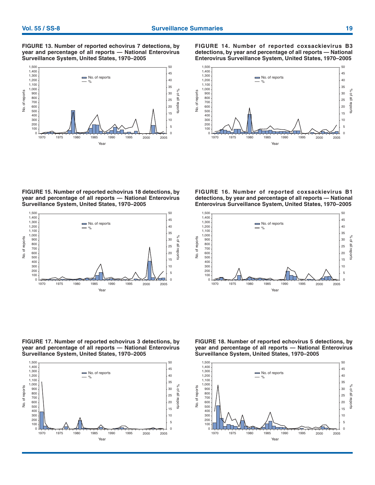**FIGURE 13. Number of reported echovirus 7 detections, by year and percentage of all reports — National Enterovirus Surveillance System, United States, 1970–2005**



**FIGURE 14. Number of reported coxsackievirus B3 detections, by year and percentage of all reports — National Enterovirus Surveillance System, United States, 1970–2005**



**FIGURE 15. Number of reported echovirus 18 detections, by year and percentage of all reports — National Enterovirus Surveillance System, United States, 1970–2005**



**FIGURE 17. Number of reported echovirus 3 detections, by year and percentage of all reports — National Enterovirus Surveillance System, United States, 1970–2005**



**FIGURE 16. Number of reported coxsackievirus B1 detections, by year and percentage of all reports — National Enterovirus Surveillance System, United States, 1970–2005**



**FIGURE 18. Number of reported echovirus 5 detections, by year and percentage of all reports — National Enterovirus Surveillance System, United States, 1970–2005**

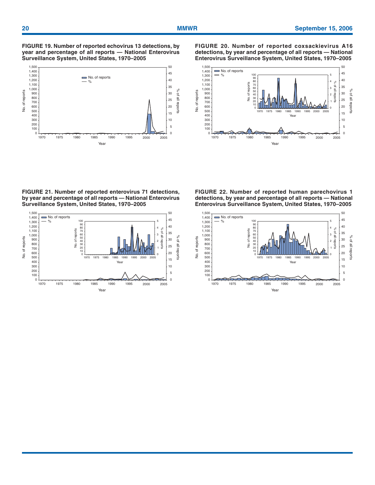**FIGURE 19. Number of reported echovirus 13 detections, by year and percentage of all reports — National Enterovirus Surveillance System, United States, 1970–2005**



**FIGURE 21. Number of reported enterovirus 71 detections, by year and percentage of all reports — National Enterovirus Surveillance System, United States, 1970–2005**



**FIGURE 20. Number of reported coxsackievirus A16 detections, by year and percentage of all reports — National Enterovirus Surveillance System, United States, 1970–2005**



**FIGURE 22. Number of reported human parechovirus 1 detections, by year and percentage of all reports — National Enterovirus Surveillance System, United States, 1970–2005**